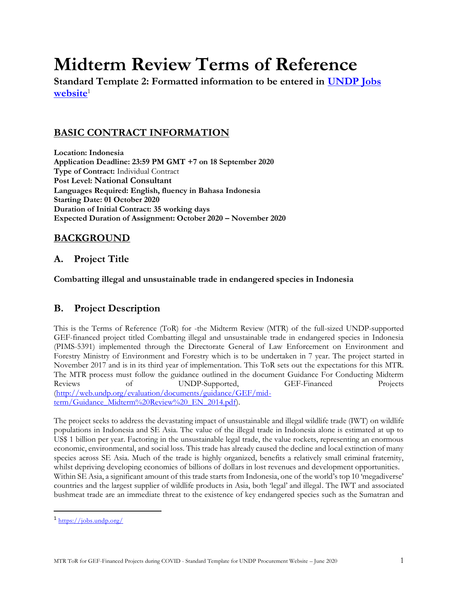# **Midterm Review Terms of Reference**

**Standard Template 2: Formatted information to be entered in [UNDP Jobs](https://jobs.undp.org/)**  [website](https://jobs.undp.org/)<sup>1</sup>

# **BASIC CONTRACT INFORMATION**

**Location: Indonesia Application Deadline: 23:59 PM GMT +7 on 18 September 2020 Type of Contract:** Individual Contract **Post Level: National Consultant Languages Required: English, fluency in Bahasa Indonesia Starting Date: 01 October 2020 Duration of Initial Contract: 35 working days Expected Duration of Assignment: October 2020 – November 2020**

# **BACKGROUND**

## **A. Project Title**

**Combatting illegal and unsustainable trade in endangered species in Indonesia**

## **B. Project Description**

This is the Terms of Reference (ToR) for -the Midterm Review (MTR) of the full-sized UNDP-supported GEF-financed project titled Combatting illegal and unsustainable trade in endangered species in Indonesia (PIMS-5391) implemented through the Directorate General of Law Enforcement on Environment and Forestry Ministry of Environment and Forestry which is to be undertaken in 7 year. The project started in November 2017 and is in its third year of implementation. This ToR sets out the expectations for this MTR. The MTR process must follow the guidance outlined in the document Guidance For Conducting Midterm Reviews of UNDP-Supported, GEF-Financed Projects [\(http://web.undp.org/evaluation/documents/guidance/GEF/mid](http://web.undp.org/evaluation/documents/guidance/GEF/mid-term/Guidance_Midterm%20Review%20_EN_2014.pdf)[term/Guidance\\_Midterm%20Review%20\\_EN\\_2014.pdf\)](http://web.undp.org/evaluation/documents/guidance/GEF/mid-term/Guidance_Midterm%20Review%20_EN_2014.pdf).

The project seeks to address the devastating impact of unsustainable and illegal wildlife trade (IWT) on wildlife populations in Indonesia and SE Asia. The value of the illegal trade in Indonesia alone is estimated at up to US\$ 1 billion per year. Factoring in the unsustainable legal trade, the value rockets, representing an enormous economic, environmental, and social loss. This trade has already caused the decline and local extinction of many species across SE Asia. Much of the trade is highly organized, benefits a relatively small criminal fraternity, whilst depriving developing economies of billions of dollars in lost revenues and development opportunities. Within SE Asia, a significant amount of this trade starts from Indonesia, one of the world's top 10 'megadiverse' countries and the largest supplier of wildlife products in Asia, both 'legal' and illegal. The IWT and associated bushmeat trade are an immediate threat to the existence of key endangered species such as the Sumatran and

<sup>&</sup>lt;sup>1</sup> <https://jobs.undp.org/>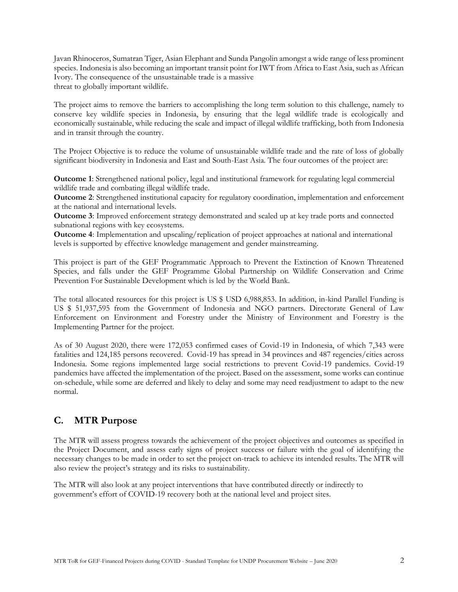Javan Rhinoceros, Sumatran Tiger, Asian Elephant and Sunda Pangolin amongst a wide range of less prominent species. Indonesia is also becoming an important transit point for IWT from Africa to East Asia, such as African Ivory. The consequence of the unsustainable trade is a massive threat to globally important wildlife.

The project aims to remove the barriers to accomplishing the long term solution to this challenge, namely to conserve key wildlife species in Indonesia, by ensuring that the legal wildlife trade is ecologically and economically sustainable, while reducing the scale and impact of illegal wildlife trafficking, both from Indonesia and in transit through the country.

The Project Objective is to reduce the volume of unsustainable wildlife trade and the rate of loss of globally significant biodiversity in Indonesia and East and South-East Asia. The four outcomes of the project are:

**Outcome 1**: Strengthened national policy, legal and institutional framework for regulating legal commercial wildlife trade and combating illegal wildlife trade.

**Outcome 2**: Strengthened institutional capacity for regulatory coordination, implementation and enforcement at the national and international levels.

**Outcome 3**: Improved enforcement strategy demonstrated and scaled up at key trade ports and connected subnational regions with key ecosystems.

**Outcome 4**: Implementation and upscaling/replication of project approaches at national and international levels is supported by effective knowledge management and gender mainstreaming.

This project is part of the GEF Programmatic Approach to Prevent the Extinction of Known Threatened Species, and falls under the GEF Programme Global Partnership on Wildlife Conservation and Crime Prevention For Sustainable Development which is led by the World Bank.

The total allocated resources for this project is US \$ USD 6,988,853. In addition, in-kind Parallel Funding is US \$ 51,937,595 from the Government of Indonesia and NGO partners. Directorate General of Law Enforcement on Environment and Forestry under the Ministry of Environment and Forestry is the Implementing Partner for the project.

As of 30 August 2020, there were 172,053 confirmed cases of Covid-19 in Indonesia, of which 7,343 were fatalities and 124,185 persons recovered. Covid-19 has spread in 34 provinces and 487 regencies/cities across Indonesia. Some regions implemented large social restrictions to prevent Covid-19 pandemics. Covid-19 pandemics have affected the implementation of the project. Based on the assessment, some works can continue on-schedule, while some are deferred and likely to delay and some may need readjustment to adapt to the new normal.

# **C. MTR Purpose**

The MTR will assess progress towards the achievement of the project objectives and outcomes as specified in the Project Document, and assess early signs of project success or failure with the goal of identifying the necessary changes to be made in order to set the project on-track to achieve its intended results. The MTR will also review the project's strategy and its risks to sustainability.

The MTR will also look at any project interventions that have contributed directly or indirectly to government's effort of COVID-19 recovery both at the national level and project sites.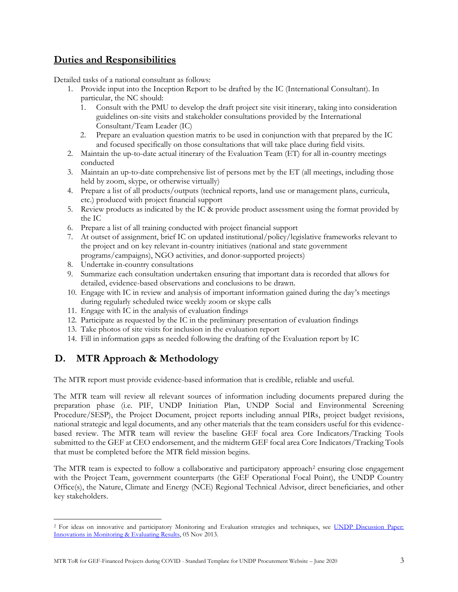# **Duties and Responsibilities**

Detailed tasks of a national consultant as follows:

- 1. Provide input into the Inception Report to be drafted by the IC (International Consultant). In particular, the NC should:
	- 1. Consult with the PMU to develop the draft project site visit itinerary, taking into consideration guidelines on-site visits and stakeholder consultations provided by the International Consultant/Team Leader (IC)
	- 2. Prepare an evaluation question matrix to be used in conjunction with that prepared by the IC and focused specifically on those consultations that will take place during field visits.
- 2. Maintain the up-to-date actual itinerary of the Evaluation Team (ET) for all in-country meetings conducted
- 3. Maintain an up-to-date comprehensive list of persons met by the ET (all meetings, including those held by zoom, skype, or otherwise virtually)
- 4. Prepare a list of all products/outputs (technical reports, land use or management plans, curricula, etc.) produced with project financial support
- 5. Review products as indicated by the IC & provide product assessment using the format provided by the IC
- 6. Prepare a list of all training conducted with project financial support
- 7. At outset of assignment, brief IC on updated institutional/policy/legislative frameworks relevant to the project and on key relevant in-country initiatives (national and state government programs/campaigns), NGO activities, and donor-supported projects)
- 8. Undertake in-country consultations
- 9. Summarize each consultation undertaken ensuring that important data is recorded that allows for detailed, evidence-based observations and conclusions to be drawn.
- 10. Engage with IC in review and analysis of important information gained during the day's meetings during regularly scheduled twice weekly zoom or skype calls
- 11. Engage with IC in the analysis of evaluation findings
- 12. Participate as requested by the IC in the preliminary presentation of evaluation findings
- 13. Take photos of site visits for inclusion in the evaluation report
- 14. Fill in information gaps as needed following the drafting of the Evaluation report by IC

# **D. MTR Approach & Methodology**

The MTR report must provide evidence-based information that is credible, reliable and useful.

The MTR team will review all relevant sources of information including documents prepared during the preparation phase (i.e. PIF, UNDP Initiation Plan, UNDP Social and Environmental Screening Procedure/SESP), the Project Document, project reports including annual PIRs, project budget revisions, national strategic and legal documents, and any other materials that the team considers useful for this evidencebased review. The MTR team will review the baseline GEF focal area Core Indicators/Tracking Tools submitted to the GEF at CEO endorsement, and the midterm GEF focal area Core Indicators/Tracking Tools that must be completed before the MTR field mission begins.

The MTR team is expected to follow a collaborative and participatory approach<sup>2</sup> ensuring close engagement with the Project Team, government counterparts (the GEF Operational Focal Point), the UNDP Country Office(s), the Nature, Climate and Energy (NCE) Regional Technical Advisor, direct beneficiaries, and other key stakeholders.

<sup>&</sup>lt;sup>2</sup> For ideas on innovative and participatory Monitoring and Evaluation strategies and techniques, see UNDP Discussion Paper: [Innovations in Monitoring & Evaluating Results,](http://www.undp.org/content/undp/en/home/librarypage/capacity-building/discussion-paper--innovations-in-monitoring---evaluating-results/) 05 Nov 2013.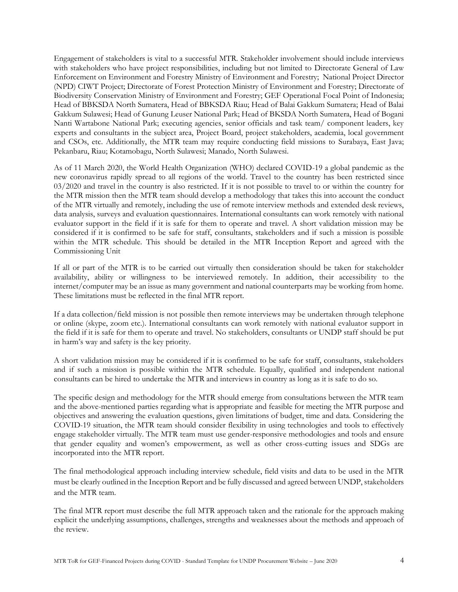Engagement of stakeholders is vital to a successful MTR. Stakeholder involvement should include interviews with stakeholders who have project responsibilities, including but not limited to Directorate General of Law Enforcement on Environment and Forestry Ministry of Environment and Forestry; National Project Director (NPD) CIWT Project; Directorate of Forest Protection Ministry of Environment and Forestry; Directorate of Biodiversity Conservation Ministry of Environment and Forestry; GEF Operational Focal Point of Indonesia; Head of BBKSDA North Sumatera, Head of BBKSDA Riau; Head of Balai Gakkum Sumatera; Head of Balai Gakkum Sulawesi; Head of Gunung Leuser National Park; Head of BKSDA North Sumatera, Head of Bogani Nanti Wartabone National Park; executing agencies, senior officials and task team/ component leaders, key experts and consultants in the subject area, Project Board, project stakeholders, academia, local government and CSOs, etc. Additionally, the MTR team may require conducting field missions to Surabaya, East Java; Pekanbaru, Riau; Kotamobagu, North Sulawesi; Manado, North Sulawesi.

As of 11 March 2020, the World Health Organization (WHO) declared COVID-19 a global pandemic as the new coronavirus rapidly spread to all regions of the world. Travel to the country has been restricted since 03/2020 and travel in the country is also restricted. If it is not possible to travel to or within the country for the MTR mission then the MTR team should develop a methodology that takes this into account the conduct of the MTR virtually and remotely, including the use of remote interview methods and extended desk reviews, data analysis, surveys and evaluation questionnaires. International consultants can work remotely with national evaluator support in the field if it is safe for them to operate and travel. A short validation mission may be considered if it is confirmed to be safe for staff, consultants, stakeholders and if such a mission is possible within the MTR schedule. This should be detailed in the MTR Inception Report and agreed with the Commissioning Unit

If all or part of the MTR is to be carried out virtually then consideration should be taken for stakeholder availability, ability or willingness to be interviewed remotely. In addition, their accessibility to the internet/computer may be an issue as many government and national counterparts may be working from home. These limitations must be reflected in the final MTR report.

If a data collection/field mission is not possible then remote interviews may be undertaken through telephone or online (skype, zoom etc.). International consultants can work remotely with national evaluator support in the field if it is safe for them to operate and travel. No stakeholders, consultants or UNDP staff should be put in harm's way and safety is the key priority.

A short validation mission may be considered if it is confirmed to be safe for staff, consultants, stakeholders and if such a mission is possible within the MTR schedule. Equally, qualified and independent national consultants can be hired to undertake the MTR and interviews in country as long as it is safe to do so.

The specific design and methodology for the MTR should emerge from consultations between the MTR team and the above-mentioned parties regarding what is appropriate and feasible for meeting the MTR purpose and objectives and answering the evaluation questions, given limitations of budget, time and data. Considering the COVID-19 situation, the MTR team should consider flexibility in using technologies and tools to effectively engage stakeholder virtually. The MTR team must use gender-responsive methodologies and tools and ensure that gender equality and women's empowerment, as well as other cross-cutting issues and SDGs are incorporated into the MTR report.

The final methodological approach including interview schedule, field visits and data to be used in the MTR must be clearly outlined in the Inception Report and be fully discussed and agreed between UNDP, stakeholders and the MTR team.

The final MTR report must describe the full MTR approach taken and the rationale for the approach making explicit the underlying assumptions, challenges, strengths and weaknesses about the methods and approach of the review.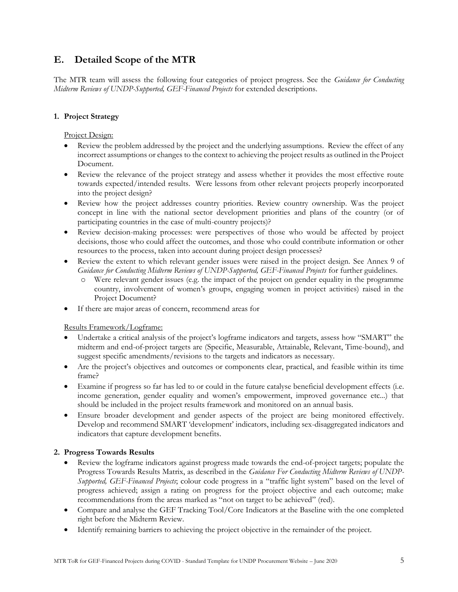## **E. Detailed Scope of the MTR**

The MTR team will assess the following four categories of project progress. See the *Guidance for Conducting Midterm Reviews of UNDP-Supported, GEF-Financed Projects* for extended descriptions.

## **1. Project Strategy**

Project Design:

- Review the problem addressed by the project and the underlying assumptions. Review the effect of any incorrect assumptions or changes to the context to achieving the project results as outlined in the Project Document.
- Review the relevance of the project strategy and assess whether it provides the most effective route towards expected/intended results. Were lessons from other relevant projects properly incorporated into the project design?
- Review how the project addresses country priorities. Review country ownership. Was the project concept in line with the national sector development priorities and plans of the country (or of participating countries in the case of multi-country projects)?
- Review decision-making processes: were perspectives of those who would be affected by project decisions, those who could affect the outcomes, and those who could contribute information or other resources to the process, taken into account during project design processes?
- Review the extent to which relevant gender issues were raised in the project design. See Annex 9 of *Guidance for Conducting Midterm Reviews of UNDP-Supported, GEF-Financed Projects* for further guidelines.
	- o Were relevant gender issues (e.g. the impact of the project on gender equality in the programme country, involvement of women's groups, engaging women in project activities) raised in the Project Document?
- If there are major areas of concern, recommend areas for

Results Framework/Logframe:

- Undertake a critical analysis of the project's logframe indicators and targets, assess how "SMART" the midterm and end-of-project targets are (Specific, Measurable, Attainable, Relevant, Time-bound), and suggest specific amendments/revisions to the targets and indicators as necessary.
- Are the project's objectives and outcomes or components clear, practical, and feasible within its time frame?
- Examine if progress so far has led to or could in the future catalyse beneficial development effects (i.e. income generation, gender equality and women's empowerment, improved governance etc...) that should be included in the project results framework and monitored on an annual basis.
- Ensure broader development and gender aspects of the project are being monitored effectively. Develop and recommend SMART 'development' indicators, including sex-disaggregated indicators and indicators that capture development benefits.

## **2. Progress Towards Results**

- Review the logframe indicators against progress made towards the end-of-project targets; populate the Progress Towards Results Matrix, as described in the *Guidance For Conducting Midterm Reviews of UNDP-Supported, GEF-Financed Projects*; colour code progress in a "traffic light system" based on the level of progress achieved; assign a rating on progress for the project objective and each outcome; make recommendations from the areas marked as "not on target to be achieved" (red).
- Compare and analyse the GEF Tracking Tool/Core Indicators at the Baseline with the one completed right before the Midterm Review.
- Identify remaining barriers to achieving the project objective in the remainder of the project.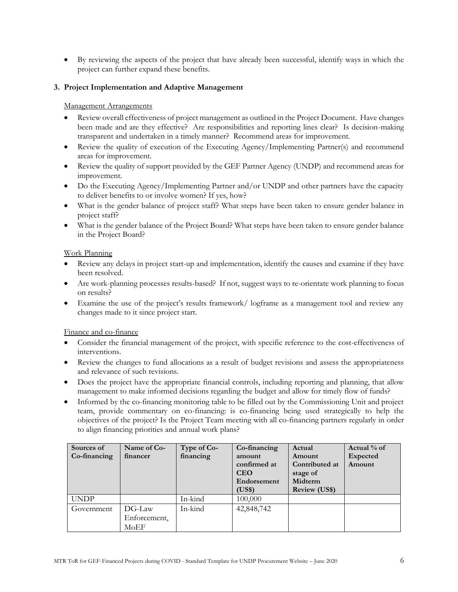• By reviewing the aspects of the project that have already been successful, identify ways in which the project can further expand these benefits.

#### **3. Project Implementation and Adaptive Management**

#### Management Arrangements

- Review overall effectiveness of project management as outlined in the Project Document. Have changes been made and are they effective? Are responsibilities and reporting lines clear? Is decision-making transparent and undertaken in a timely manner? Recommend areas for improvement.
- Review the quality of execution of the Executing Agency/Implementing Partner(s) and recommend areas for improvement.
- Review the quality of support provided by the GEF Partner Agency (UNDP) and recommend areas for improvement.
- Do the Executing Agency/Implementing Partner and/or UNDP and other partners have the capacity to deliver benefits to or involve women? If yes, how?
- What is the gender balance of project staff? What steps have been taken to ensure gender balance in project staff?
- What is the gender balance of the Project Board? What steps have been taken to ensure gender balance in the Project Board?

#### Work Planning

- Review any delays in project start-up and implementation, identify the causes and examine if they have been resolved.
- Are work-planning processes results-based? If not, suggest ways to re-orientate work planning to focus on results?
- Examine the use of the project's results framework/ logframe as a management tool and review any changes made to it since project start.

#### Finance and co-finance

- Consider the financial management of the project, with specific reference to the cost-effectiveness of interventions.
- Review the changes to fund allocations as a result of budget revisions and assess the appropriateness and relevance of such revisions.
- Does the project have the appropriate financial controls, including reporting and planning, that allow management to make informed decisions regarding the budget and allow for timely flow of funds?
- Informed by the co-financing monitoring table to be filled out by the Commissioning Unit and project team, provide commentary on co-financing: is co-financing being used strategically to help the objectives of the project? Is the Project Team meeting with all co-financing partners regularly in order to align financing priorities and annual work plans?

| Sources of<br>Co-financing | Name of Co-<br>financer        | Type of Co-<br>financing | Co-financing<br>amount<br>confirmed at<br><b>CEO</b><br>Endorsement<br>(US\$) | Actual<br>Amount<br>Contributed at<br>stage of<br>Midterm<br><b>Review (US\$)</b> | Actual % of<br><b>Expected</b><br>Amount |
|----------------------------|--------------------------------|--------------------------|-------------------------------------------------------------------------------|-----------------------------------------------------------------------------------|------------------------------------------|
| <b>UNDP</b>                |                                | In-kind                  | 100,000                                                                       |                                                                                   |                                          |
| Government                 | DG-Law<br>Enforcement,<br>MoEF | In-kind                  | 42,848,742                                                                    |                                                                                   |                                          |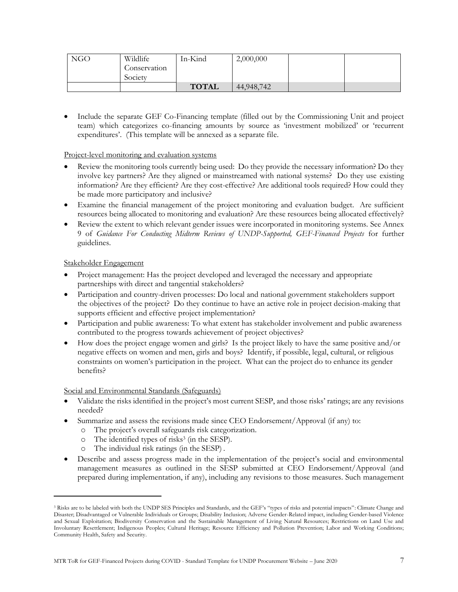| <b>NGO</b> | Wildlife              | In-Kind      | 2,000,000  |  |
|------------|-----------------------|--------------|------------|--|
|            | Conservation          |              |            |  |
|            | $\sqrt{2}$<br>Society |              |            |  |
|            |                       | <b>TOTAL</b> | 44,948,742 |  |

• Include the separate GEF Co-Financing template (filled out by the Commissioning Unit and project team) which categorizes co-financing amounts by source as 'investment mobilized' or 'recurrent expenditures'. (This template will be annexed as a separate file.

#### Project-level monitoring and evaluation systems

- Review the monitoring tools currently being used: Do they provide the necessary information? Do they involve key partners? Are they aligned or mainstreamed with national systems? Do they use existing information? Are they efficient? Are they cost-effective? Are additional tools required? How could they be made more participatory and inclusive?
- Examine the financial management of the project monitoring and evaluation budget. Are sufficient resources being allocated to monitoring and evaluation? Are these resources being allocated effectively?
- Review the extent to which relevant gender issues were incorporated in monitoring systems. See Annex 9 of *Guidance For Conducting Midterm Reviews of UNDP-Supported, GEF-Financed Projects* for further guidelines.

## Stakeholder Engagement

- Project management: Has the project developed and leveraged the necessary and appropriate partnerships with direct and tangential stakeholders?
- Participation and country-driven processes: Do local and national government stakeholders support the objectives of the project? Do they continue to have an active role in project decision-making that supports efficient and effective project implementation?
- Participation and public awareness: To what extent has stakeholder involvement and public awareness contributed to the progress towards achievement of project objectives?
- How does the project engage women and girls? Is the project likely to have the same positive and/or negative effects on women and men, girls and boys? Identify, if possible, legal, cultural, or religious constraints on women's participation in the project. What can the project do to enhance its gender benefits?

## Social and Environmental Standards (Safeguards)

- Validate the risks identified in the project's most current SESP, and those risks' ratings; are any revisions needed?
- Summarize and assess the revisions made since CEO Endorsement/Approval (if any) to:
	- o The project's overall safeguards risk categorization.
	- o The identified types of risks<sup>3</sup> (in the SESP).
	- o The individual risk ratings (in the SESP) .
- Describe and assess progress made in the implementation of the project's social and environmental management measures as outlined in the SESP submitted at CEO Endorsement/Approval (and prepared during implementation, if any), including any revisions to those measures. Such management

<sup>&</sup>lt;sup>3</sup> Risks are to be labeled with both the UNDP SES Principles and Standards, and the GEF's "types of risks and potential impacts": Climate Change and Disaster; Disadvantaged or Vulnerable Individuals or Groups; Disability Inclusion; Adverse Gender-Related impact, including Gender-based Violence and Sexual Exploitation; Biodiversity Conservation and the Sustainable Management of Living Natural Resources; Restrictions on Land Use and Involuntary Resettlement; Indigenous Peoples; Cultural Heritage; Resource Efficiency and Pollution Prevention; Labor and Working Conditions; Community Health, Safety and Security.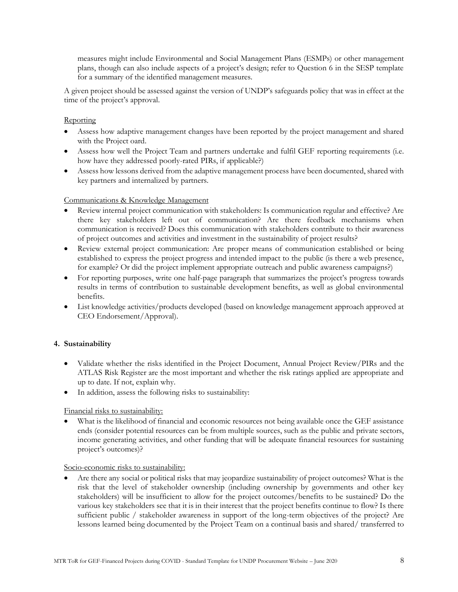measures might include Environmental and Social Management Plans (ESMPs) or other management plans, though can also include aspects of a project's design; refer to Question 6 in the SESP template for a summary of the identified management measures.

A given project should be assessed against the version of UNDP's safeguards policy that was in effect at the time of the project's approval.

## **Reporting**

- Assess how adaptive management changes have been reported by the project management and shared with the Project oard.
- Assess how well the Project Team and partners undertake and fulfil GEF reporting requirements (i.e. how have they addressed poorly-rated PIRs, if applicable?)
- Assess how lessons derived from the adaptive management process have been documented, shared with key partners and internalized by partners.

## Communications & Knowledge Management

- Review internal project communication with stakeholders: Is communication regular and effective? Are there key stakeholders left out of communication? Are there feedback mechanisms when communication is received? Does this communication with stakeholders contribute to their awareness of project outcomes and activities and investment in the sustainability of project results?
- Review external project communication: Are proper means of communication established or being established to express the project progress and intended impact to the public (is there a web presence, for example? Or did the project implement appropriate outreach and public awareness campaigns?)
- For reporting purposes, write one half-page paragraph that summarizes the project's progress towards results in terms of contribution to sustainable development benefits, as well as global environmental benefits.
- List knowledge activities/products developed (based on knowledge management approach approved at CEO Endorsement/Approval).

## **4. Sustainability**

- Validate whether the risks identified in the Project Document, Annual Project Review/PIRs and the ATLAS Risk Register are the most important and whether the risk ratings applied are appropriate and up to date. If not, explain why.
- In addition, assess the following risks to sustainability:

## Financial risks to sustainability:

• What is the likelihood of financial and economic resources not being available once the GEF assistance ends (consider potential resources can be from multiple sources, such as the public and private sectors, income generating activities, and other funding that will be adequate financial resources for sustaining project's outcomes)?

#### Socio-economic risks to sustainability:

• Are there any social or political risks that may jeopardize sustainability of project outcomes? What is the risk that the level of stakeholder ownership (including ownership by governments and other key stakeholders) will be insufficient to allow for the project outcomes/benefits to be sustained? Do the various key stakeholders see that it is in their interest that the project benefits continue to flow? Is there sufficient public / stakeholder awareness in support of the long-term objectives of the project? Are lessons learned being documented by the Project Team on a continual basis and shared/ transferred to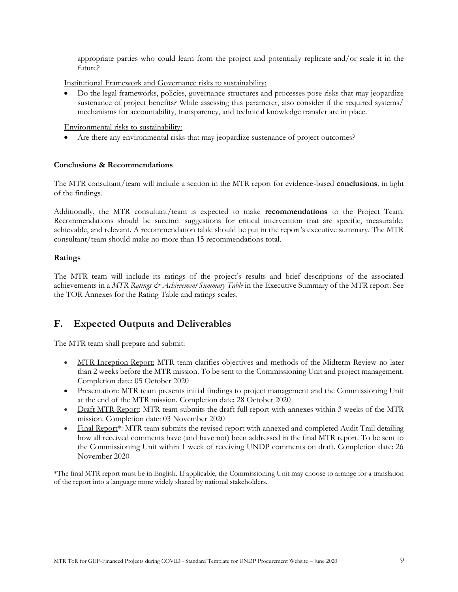appropriate parties who could learn from the project and potentially replicate and/or scale it in the future?

Institutional Framework and Governance risks to sustainability:

• Do the legal frameworks, policies, governance structures and processes pose risks that may jeopardize sustenance of project benefits? While assessing this parameter, also consider if the required systems/ mechanisms for accountability, transparency, and technical knowledge transfer are in place.

Environmental risks to sustainability:

• Are there any environmental risks that may jeopardize sustenance of project outcomes?

#### **Conclusions & Recommendations**

The MTR consultant/team will include a section in the MTR report for evidence-based **conclusions**, in light of the findings.

Additionally, the MTR consultant/team is expected to make **recommendations** to the Project Team. Recommendations should be succinct suggestions for critical intervention that are specific, measurable, achievable, and relevant. A recommendation table should be put in the report's executive summary. The MTR consultant/team should make no more than 15 recommendations total.

#### **Ratings**

The MTR team will include its ratings of the project's results and brief descriptions of the associated achievements in a *MTR Ratings & Achievement Summary Table* in the Executive Summary of the MTR report. See the TOR Annexes for the Rating Table and ratings scales.

## **F. Expected Outputs and Deliverables**

The MTR team shall prepare and submit:

- MTR Inception Report: MTR team clarifies objectives and methods of the Midterm Review no later than 2 weeks before the MTR mission. To be sent to the Commissioning Unit and project management. Completion date: 05 October 2020
- Presentation: MTR team presents initial findings to project management and the Commissioning Unit at the end of the MTR mission. Completion date: 28 October 2020
- Draft MTR Report: MTR team submits the draft full report with annexes within 3 weeks of the MTR mission. Completion date: 03 November 2020
- Final Report<sup>\*</sup>: MTR team submits the revised report with annexed and completed Audit Trail detailing how all received comments have (and have not) been addressed in the final MTR report. To be sent to the Commissioning Unit within 1 week of receiving UNDP comments on draft. Completion date: 26 November 2020

\*The final MTR report must be in English. If applicable, the Commissioning Unit may choose to arrange for a translation of the report into a language more widely shared by national stakeholders.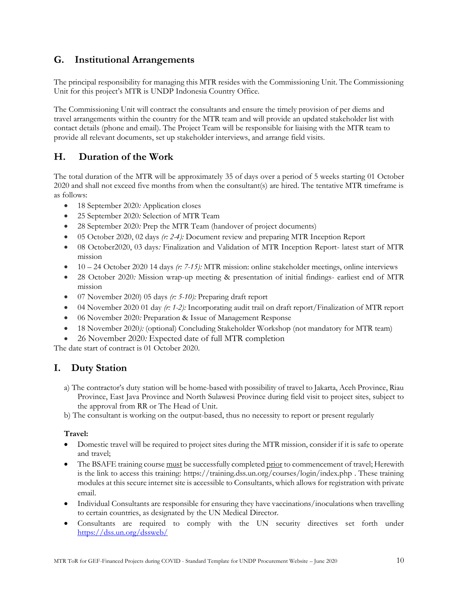## **G. Institutional Arrangements**

The principal responsibility for managing this MTR resides with the Commissioning Unit. The Commissioning Unit for this project's MTR is UNDP Indonesia Country Office.

The Commissioning Unit will contract the consultants and ensure the timely provision of per diems and travel arrangements within the country for the MTR team and will provide an updated stakeholder list with contact details (phone and email). The Project Team will be responsible for liaising with the MTR team to provide all relevant documents, set up stakeholder interviews, and arrange field visits.

## **H. Duration of the Work**

The total duration of the MTR will be approximately 35 of days over a period of 5 weeks starting 01 October 2020 and shall not exceed five months from when the consultant(s) are hired. The tentative MTR timeframe is as follows:

- 18 September 2020*:* Application closes
- 25 September 2020*:* Selection of MTR Team
- 28 September 2020*:* Prep the MTR Team (handover of project documents)
- 05 October 2020, 02 days *(r: 2-4):* Document review and preparing MTR Inception Report
- 08 October2020, 03 days*:* Finalization and Validation of MTR Inception Report- latest start of MTR mission
- 10 24 October 2020 14 days *(r: 7-15):* MTR mission: online stakeholder meetings, online interviews
- 28 October 2020*:* Mission wrap-up meeting & presentation of initial findings- earliest end of MTR mission
- 07 November 2020) 05 days *(r: 5-10):* Preparing draft report
- 04 November 2020 01 day *(r: 1-2):* Incorporating audit trail on draft report/Finalization of MTR report
- 06 November 2020*:* Preparation & Issue of Management Response
- 18 November 2020*):* (optional) Concluding Stakeholder Workshop (not mandatory for MTR team)
- 26 November 2020*:* Expected date of full MTR completion

The date start of contract is 01 October 2020.

# **I. Duty Station**

a) The contractor's duty station will be home-based with possibility of travel to Jakarta, Aceh Province, Riau Province, East Java Province and North Sulawesi Province during field visit to project sites, subject to the approval from RR or The Head of Unit.

b) The consultant is working on the output-based, thus no necessity to report or present regularly

## **Travel:**

- Domestic travel will be required to project sites during the MTR mission, consider if it is safe to operate and travel;
- The BSAFE training course must be successfully completed prior to commencement of travel; Herewith is the link to access this training: [https://training.dss.un.org/courses/login/index.php](https://eur03.safelinks.protection.outlook.com/?url=https%3A%2F%2Ftraining.dss.un.org%2Fcourses%2Flogin%2Findex.php&data=02%7C01%7Cmargarita.arguelles%40undp.org%7Cf844bcc8bed44b9d964e08d81439040f%7Cb3e5db5e2944483799f57488ace54319%7C0%7C0%7C637281583941862242&sdata=rxpJarejT1BkWC%2FDUq2F4MmAZf43mbRMl5fFqWWBTyY%3D&reserved=0) . These training modules at this secure internet site is accessible to Consultants, which allows for registration with private email.
- Individual Consultants are responsible for ensuring they have vaccinations/inoculations when travelling to certain countries, as designated by the UN Medical Director.
- Consultants are required to comply with the UN security directives set forth under <https://dss.un.org/dssweb/>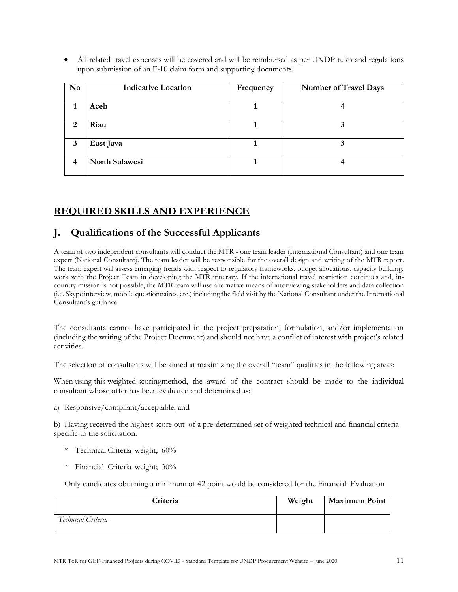• All related travel expenses will be covered and will be reimbursed as per UNDP rules and regulations upon submission of an F-10 claim form and supporting documents.

| N <sub>0</sub> | <b>Indicative Location</b> | Frequency | <b>Number of Travel Days</b> |
|----------------|----------------------------|-----------|------------------------------|
|                | Aceh                       |           |                              |
| 2              | Riau                       |           |                              |
| 3              | East Java                  |           |                              |
| 4              | <b>North Sulawesi</b>      |           |                              |

# **REQUIRED SKILLS AND EXPERIENCE**

## **J. Qualifications of the Successful Applicants**

A team of two independent consultants will conduct the MTR - one team leader (International Consultant) and one team expert (National Consultant). The team leader will be responsible for the overall design and writing of the MTR report*.*  The team expert will assess emerging trends with respect to regulatory frameworks, budget allocations, capacity building, work with the Project Team in developing the MTR itinerary. If the international travel restriction continues and, incountry mission is not possible, the MTR team will use alternative means of interviewing stakeholders and data collection (i.e. Skype interview, mobile questionnaires, etc.) including the field visit by the National Consultant under the International Consultant's guidance.

The consultants cannot have participated in the project preparation, formulation, and/or implementation (including the writing of the Project Document) and should not have a conflict of interest with project's related activities.

The selection of consultants will be aimed at maximizing the overall "team" qualities in the following areas:

When using this weighted scoringmethod, the award of the contract should be made to the individual consultant whose offer has been evaluated and determined as:

a) Responsive/compliant/acceptable, and

b) Having received the highest score out of a pre-determined set of weighted technical and financial criteria specific to the solicitation.

- \* Technical Criteria weight; 60%
- \* Financial Criteria weight; 30%

Only candidates obtaining a minimum of 42 point would be considered for the Financial Evaluation

| Criteria           | Weight | <b>Maximum Point</b> |
|--------------------|--------|----------------------|
| Technical Criteria |        |                      |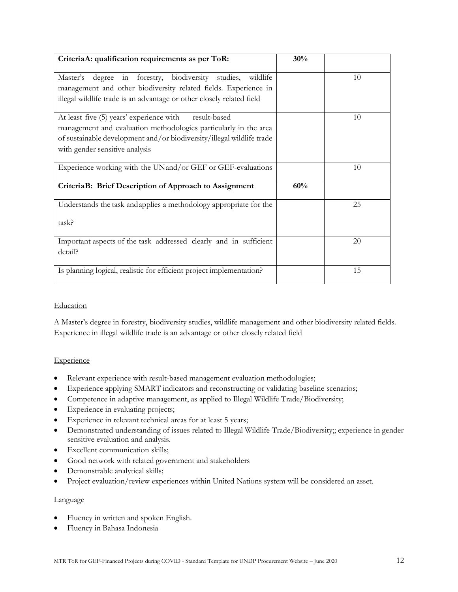| CriteriaA: qualification requirements as per ToR:                                                                                                                                                                                       | 30% |    |
|-----------------------------------------------------------------------------------------------------------------------------------------------------------------------------------------------------------------------------------------|-----|----|
| in forestry, biodiversity studies,<br>wildlife<br>Master's<br>degree<br>management and other biodiversity related fields. Experience in<br>illegal wildlife trade is an advantage or other closely related field                        |     | 10 |
| At least five (5) years' experience with<br>result-based<br>management and evaluation methodologies particularly in the area<br>of sustainable development and/or biodiversity/illegal wildlife trade<br>with gender sensitive analysis |     | 10 |
| Experience working with the UN and/or GEF or GEF-evaluations                                                                                                                                                                            |     | 10 |
| CriteriaB: Brief Description of Approach to Assignment                                                                                                                                                                                  | 60% |    |
| Understands the task and applies a methodology appropriate for the<br>task?                                                                                                                                                             |     | 25 |
| Important aspects of the task addressed clearly and in sufficient<br>detail?                                                                                                                                                            |     | 20 |
| Is planning logical, realistic for efficient project implementation?                                                                                                                                                                    |     | 15 |

## Education

A Master's degree in forestry, biodiversity studies, wildlife management and other biodiversity related fields. Experience in illegal wildlife trade is an advantage or other closely related field

## **Experience**

- Relevant experience with result-based management evaluation methodologies;
- Experience applying SMART indicators and reconstructing or validating baseline scenarios;
- Competence in adaptive management, as applied to Illegal Wildlife Trade/Biodiversity;
- Experience in evaluating projects;
- Experience in relevant technical areas for at least 5 years;
- Demonstrated understanding of issues related to Illegal Wildlife Trade/Biodiversity;; experience in gender sensitive evaluation and analysis.
- Excellent communication skills;
- Good network with related government and stakeholders
- Demonstrable analytical skills;
- Project evaluation/review experiences within United Nations system will be considered an asset.

#### Language

- Fluency in written and spoken English.
- Fluency in Bahasa Indonesia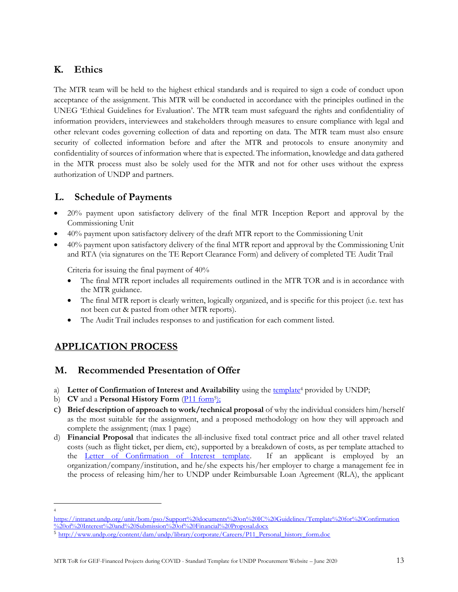## **K. Ethics**

The MTR team will be held to the highest ethical standards and is required to sign a code of conduct upon acceptance of the assignment. This MTR will be conducted in accordance with the principles outlined in the UNEG 'Ethical Guidelines for Evaluation'. The MTR team must safeguard the rights and confidentiality of information providers, interviewees and stakeholders through measures to ensure compliance with legal and other relevant codes governing collection of data and reporting on data. The MTR team must also ensure security of collected information before and after the MTR and protocols to ensure anonymity and confidentiality of sources of information where that is expected. The information, knowledge and data gathered in the MTR process must also be solely used for the MTR and not for other uses without the express authorization of UNDP and partners.

## **L. Schedule of Payments**

- 20% payment upon satisfactory delivery of the final MTR Inception Report and approval by the Commissioning Unit
- 40% payment upon satisfactory delivery of the draft MTR report to the Commissioning Unit
- 40% payment upon satisfactory delivery of the final MTR report and approval by the Commissioning Unit and RTA (via signatures on the TE Report Clearance Form) and delivery of completed TE Audit Trail

Criteria for issuing the final payment of 40%

- The final MTR report includes all requirements outlined in the MTR TOR and is in accordance with the MTR guidance.
- The final MTR report is clearly written, logically organized, and is specific for this project (i.e. text has not been cut & pasted from other MTR reports).
- The Audit Trail includes responses to and justification for each comment listed.

# **APPLICATION PROCESS**

## **M. Recommended Presentation of Offer**

- a) Letter of Confirmation of Interest and Availability using the [template](https://intranet.undp.org/unit/bom/pso/Support%20documents%20on%20IC%20Guidelines/Template%20for%20Confirmation%20of%20Interest%20and%20Submission%20of%20Financial%20Proposal.docx)<sup>4</sup> provided by UNDP;
- b) **CV** and a **Personal History Form** (*P11 form<sup>5</sup>)*;
- c) **Brief description of approach to work/technical proposal** of why the individual considers him/herself as the most suitable for the assignment, and a proposed methodology on how they will approach and complete the assignment; (max 1 page)
- d) **Financial Proposal** that indicates the all-inclusive fixed total contract price and all other travel related costs (such as flight ticket, per diem, etc), supported by a breakdown of costs, as per template attached to the [Letter of Confirmation of Interest template.](https://popp.undp.org/_layouts/15/WopiFrame.aspx?sourcedoc=/UNDP_POPP_DOCUMENT_LIBRARY/Public/PSU_%20Individual%20Contract_Offerors%20Letter%20to%20UNDP%20Confirming%20Interest%20and%20Availability.docx&action=default) If an applicant is employed by an organization/company/institution, and he/she expects his/her employer to charge a management fee in the process of releasing him/her to UNDP under Reimbursable Loan Agreement (RLA), the applicant

<sup>4</sup>

[https://intranet.undp.org/unit/bom/pso/Support%20documents%20on%20IC%20Guidelines/Template%20for%20Confirmation](https://intranet.undp.org/unit/bom/pso/Support%20documents%20on%20IC%20Guidelines/Template%20for%20Confirmation%20of%20Interest%20and%20Submission%20of%20Financial%20Proposal.docx) [%20of%20Interest%20and%20Submission%20of%20Financial%20Proposal.docx](https://intranet.undp.org/unit/bom/pso/Support%20documents%20on%20IC%20Guidelines/Template%20for%20Confirmation%20of%20Interest%20and%20Submission%20of%20Financial%20Proposal.docx)

<sup>5</sup> [http://www.undp.org/content/dam/undp/library/corporate/Careers/P11\\_Personal\\_history\\_form.doc](http://www.undp.org/content/dam/undp/library/corporate/Careers/P11_Personal_history_form.doc)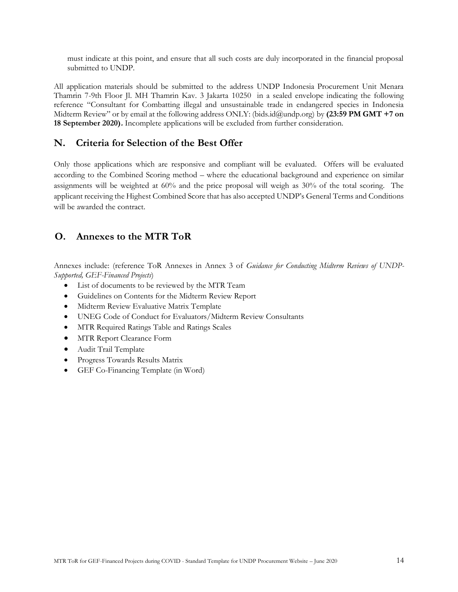must indicate at this point, and ensure that all such costs are duly incorporated in the financial proposal submitted to UNDP.

All application materials should be submitted to the address UNDP Indonesia Procurement Unit Menara Thamrin 7-9th Floor Jl. MH Thamrin Kav. 3 Jakarta 10250 in a sealed envelope indicating the following reference "Consultant for Combatting illegal and unsustainable trade in endangered species in Indonesia Midterm Review" or by email at the following address ONLY: (bids.id@undp.org) by **(23:59 PM GMT +7 on 18 September 2020).** Incomplete applications will be excluded from further consideration.

## **N. Criteria for Selection of the Best Offer**

Only those applications which are responsive and compliant will be evaluated. Offers will be evaluated according to the Combined Scoring method – where the educational background and experience on similar assignments will be weighted at 60% and the price proposal will weigh as 30% of the total scoring. The applicant receiving the Highest Combined Score that has also accepted UNDP's General Terms and Conditions will be awarded the contract.

## **O. Annexes to the MTR ToR**

Annexes include: (reference ToR Annexes in Annex 3 of *Guidance for Conducting Midterm Reviews of UNDP-Supported, GEF-Financed Projects*)

- List of documents to be reviewed by the MTR Team
- Guidelines on Contents for the Midterm Review Report
- Midterm Review Evaluative Matrix Template
- UNEG Code of Conduct for Evaluators/Midterm Review Consultants
- MTR Required Ratings Table and Ratings Scales
- MTR Report Clearance Form
- Audit Trail Template
- Progress Towards Results Matrix
- GEF Co-Financing Template (in Word)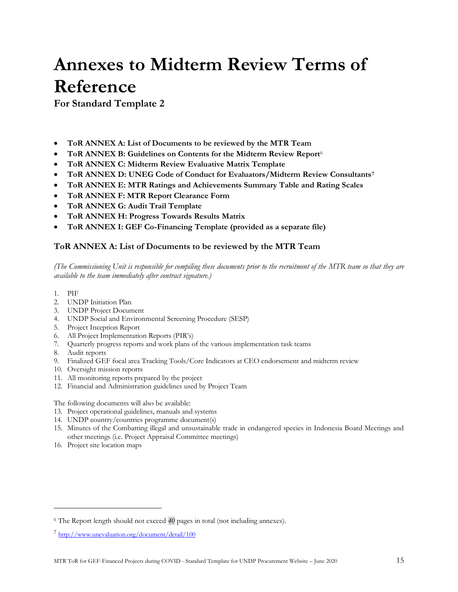# **Annexes to Midterm Review Terms of Reference**

**For Standard Template 2**

- **ToR ANNEX A: List of Documents to be reviewed by the MTR Team**
- **ToR ANNEX B: Guidelines on Contents for the Midterm Review Report**<sup>6</sup>
- **ToR ANNEX C: Midterm Review Evaluative Matrix Template**
- **ToR ANNEX D: UNEG Code of Conduct for Evaluators/Midterm Review Consultants<sup>7</sup>**
- **ToR ANNEX E: MTR Ratings and Achievements Summary Table and Rating Scales**
- **ToR ANNEX F: MTR Report Clearance Form**
- **ToR ANNEX G: Audit Trail Template**
- **ToR ANNEX H: Progress Towards Results Matrix**
- **ToR ANNEX I: GEF Co-Financing Template (provided as a separate file)**

## **ToR ANNEX A: List of Documents to be reviewed by the MTR Team**

*(The Commissioning Unit is responsible for compiling these documents prior to the recruitment of the MTR team so that they are available to the team immediately after contract signature.)*

- 1. PIF
- 2. UNDP Initiation Plan
- 3. UNDP Project Document
- 4. UNDP Social and Environmental Screening Procedure (SESP)
- 5. Project Inception Report
- 6. All Project Implementation Reports (PIR's)
- 7. Quarterly progress reports and work plans of the various implementation task teams
- 8. Audit reports
- 9. Finalized GEF focal area Tracking Tools/Core Indicators at CEO endorsement and midterm review
- 10. Oversight mission reports
- 11. All monitoring reports prepared by the project
- 12. Financial and Administration guidelines used by Project Team

The following documents will also be available:

- 13. Project operational guidelines, manuals and systems
- 14. UNDP country/countries programme document(s)
- 15. Minutes of the Combatting illegal and unsustainable trade in endangered species in Indonesia Board Meetings and other meetings (i.e. Project Appraisal Committee meetings)
- 16. Project site location maps

<sup>6</sup> The Report length should not exceed *40* pages in total (not including annexes).

<sup>&</sup>lt;sup>7</sup> <http://www.unevaluation.org/document/detail/100>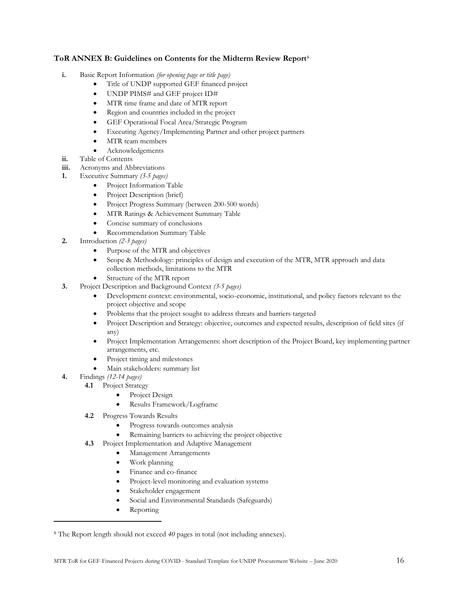#### **ToR ANNEX B: Guidelines on Contents for the Midterm Review Report**<sup>8</sup>

- **i.** Basic Report Information *(for opening page or title page)*
	- Title of UNDP supported GEF financed project
	- UNDP PIMS# and GEF project ID#
	- MTR time frame and date of MTR report
	- Region and countries included in the project
	- GEF Operational Focal Area/Strategic Program
	- Executing Agency/Implementing Partner and other project partners
	- MTR team members
	- Acknowledgements
- **ii.** Table of Contents
- **iii.** Acronyms and Abbreviations
- **1.** Executive Summary *(3-5 pages)*
	- Project Information Table
	- Project Description (brief)
	- Project Progress Summary (between 200-500 words)
	- MTR Ratings & Achievement Summary Table
	- Concise summary of conclusions
	- Recommendation Summary Table
- **2.** Introduction *(2-3 pages)*
	- Purpose of the MTR and objectives
	- Scope & Methodology: principles of design and execution of the MTR, MTR approach and data collection methods, limitations to the MTR
	- Structure of the MTR report
- **3.** Project Description and Background Context *(3-5 pages)*
	- Development context: environmental, socio-economic, institutional, and policy factors relevant to the project objective and scope
	- Problems that the project sought to address threats and barriers targeted
	- Project Description and Strategy: objective, outcomes and expected results, description of field sites (if any)
	- Project Implementation Arrangements: short description of the Project Board, key implementing partner arrangements, etc.
	- Project timing and milestones
	- Main stakeholders: summary list
- **4.** Findings *(12-14 pages)*
	- **4.1** Project Strategy
		- Project Design
		- Results Framework/Logframe
	- **4.2** Progress Towards Results
		- Progress towards outcomes analysis
		- Remaining barriers to achieving the project objective
	- **4.3** Project Implementation and Adaptive Management
		- Management Arrangements
		- Work planning
		- Finance and co-finance
		- Project-level monitoring and evaluation systems
		- Stakeholder engagement
		- Social and Environmental Standards (Safeguards)
		- Reporting

<sup>8</sup> The Report length should not exceed *40* pages in total (not including annexes).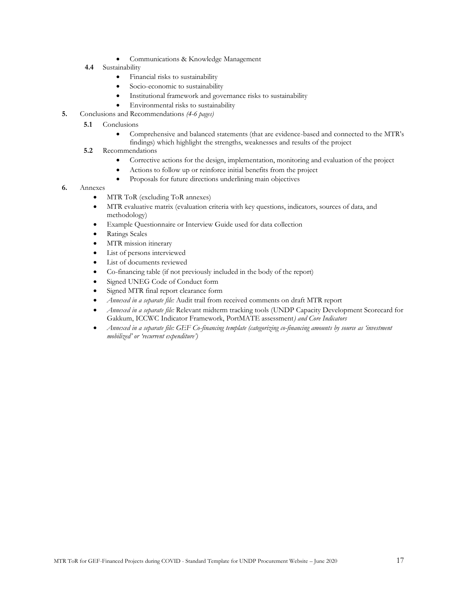- Communications & Knowledge Management
- **4.4** Sustainability
	- Financial risks to sustainability
	- Socio-economic to sustainability
	- Institutional framework and governance risks to sustainability
	- Environmental risks to sustainability
- **5.** Conclusions and Recommendations *(4-6 pages)*
	- **5.1**  Conclusions
		- Comprehensive and balanced statements (that are evidence-based and connected to the MTR's findings) which highlight the strengths, weaknesses and results of the project
	- **5.2** Recommendations
		- Corrective actions for the design, implementation, monitoring and evaluation of the project
		- Actions to follow up or reinforce initial benefits from the project
		- Proposals for future directions underlining main objectives
- **6.** Annexes
	- MTR ToR (excluding ToR annexes)
	- MTR evaluative matrix (evaluation criteria with key questions, indicators, sources of data, and methodology)
	- Example Questionnaire or Interview Guide used for data collection
	- Ratings Scales
	- MTR mission itinerary
	- List of persons interviewed
	- List of documents reviewed
	- Co-financing table (if not previously included in the body of the report)
	- Signed UNEG Code of Conduct form
	- Signed MTR final report clearance form
	- *Annexed in a separate file:* Audit trail from received comments on draft MTR report
	- *Annexed in a separate file:* Relevant midterm tracking tools (UNDP Capacity Development Scorecard for Gakkum, ICCWC Indicator Framework, PortMATE assessment*) and Core Indicators*
	- *Annexed in a separate file: GEF Co-financing template (categorizing co-financing amounts by source as 'investment mobilized' or 'recurrent expenditure')*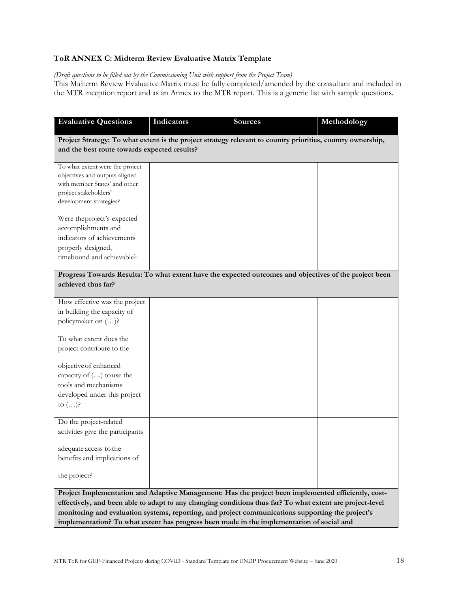## **ToR ANNEX C: Midterm Review Evaluative Matrix Template**

## *(Draft questions to be filled out by the Commissioning Unit with support from the Project Team)*

This Midterm Review Evaluative Matrix must be fully completed/amended by the consultant and included in the MTR inception report and as an Annex to the MTR report. This is a generic list with sample questions.

| <b>Evaluative Questions</b>                                                                                                                                                                                                                                                                                                                                                                                        | Indicators                                                                                                                                                  | <b>Sources</b> | Methodology |  |  |
|--------------------------------------------------------------------------------------------------------------------------------------------------------------------------------------------------------------------------------------------------------------------------------------------------------------------------------------------------------------------------------------------------------------------|-------------------------------------------------------------------------------------------------------------------------------------------------------------|----------------|-------------|--|--|
|                                                                                                                                                                                                                                                                                                                                                                                                                    | Project Strategy: To what extent is the project strategy relevant to country priorities, country ownership,<br>and the best route towards expected results? |                |             |  |  |
| To what extent were the project<br>objectives and outputs aligned<br>with member States' and other<br>project stakeholders'<br>development strategies?                                                                                                                                                                                                                                                             |                                                                                                                                                             |                |             |  |  |
| Were the project's expected<br>accomplishments and<br>indicators of achievements<br>properly designed,<br>timebound and achievable?                                                                                                                                                                                                                                                                                |                                                                                                                                                             |                |             |  |  |
| Progress Towards Results: To what extent have the expected outcomes and objectives of the project been<br>achieved thus far?                                                                                                                                                                                                                                                                                       |                                                                                                                                                             |                |             |  |  |
| How effective was the project<br>in building the capacity of<br>policymaker on ()?                                                                                                                                                                                                                                                                                                                                 |                                                                                                                                                             |                |             |  |  |
| To what extent does the<br>project contribute to the                                                                                                                                                                                                                                                                                                                                                               |                                                                                                                                                             |                |             |  |  |
| objective of enhanced<br>capacity of $()$ to use the<br>tools and mechanisms<br>developed under this project<br>to $()$ ?                                                                                                                                                                                                                                                                                          |                                                                                                                                                             |                |             |  |  |
| Do the project-related<br>activities give the participants                                                                                                                                                                                                                                                                                                                                                         |                                                                                                                                                             |                |             |  |  |
| adequate access to the<br>benefits and implications of<br>the project?                                                                                                                                                                                                                                                                                                                                             |                                                                                                                                                             |                |             |  |  |
| Project Implementation and Adaptive Management: Has the project been implemented efficiently, cost-<br>effectively, and been able to adapt to any changing conditions thus far? To what extent are project-level<br>monitoring and evaluation systems, reporting, and project communications supporting the project's<br>implementation? To what extent has progress been made in the implementation of social and |                                                                                                                                                             |                |             |  |  |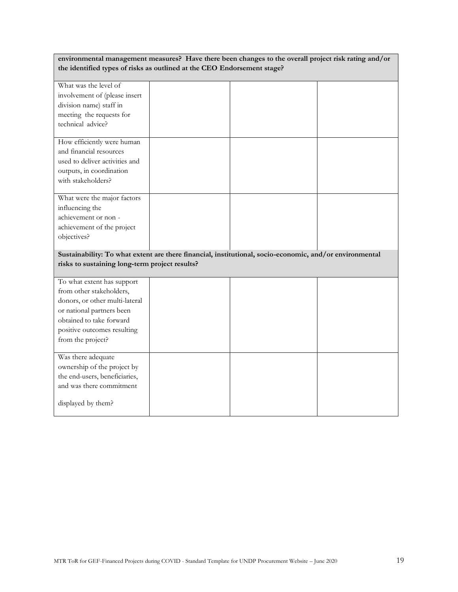| environmental management measures? Have there been changes to the overall project risk rating and/or<br>the identified types of risks as outlined at the CEO Endorsement stage?                       |  |  |  |  |
|-------------------------------------------------------------------------------------------------------------------------------------------------------------------------------------------------------|--|--|--|--|
| What was the level of<br>involvement of (please insert<br>division name) staff in<br>meeting the requests for<br>technical advice?                                                                    |  |  |  |  |
| How efficiently were human<br>and financial resources<br>used to deliver activities and<br>outputs, in coordination<br>with stakeholders?                                                             |  |  |  |  |
| What were the major factors<br>influencing the<br>achievement or non-<br>achievement of the project<br>objectives?                                                                                    |  |  |  |  |
| Sustainability: To what extent are there financial, institutional, socio-economic, and/or environmental<br>risks to sustaining long-term project results?                                             |  |  |  |  |
| To what extent has support<br>from other stakeholders,<br>donors, or other multi-lateral<br>or national partners been<br>obtained to take forward<br>positive outcomes resulting<br>from the project? |  |  |  |  |
| Was there adequate<br>ownership of the project by<br>the end-users, beneficiaries,<br>and was there commitment<br>displayed by them?                                                                  |  |  |  |  |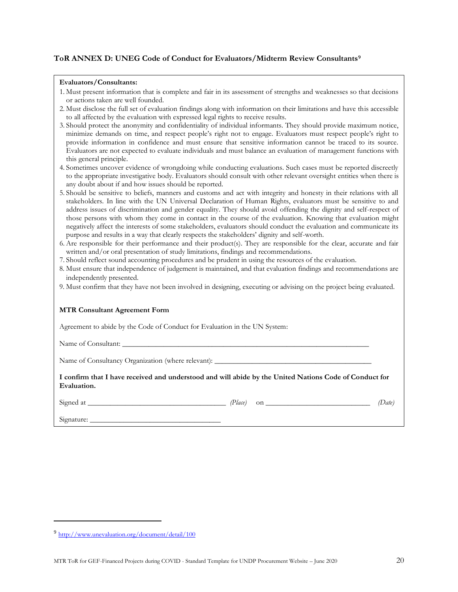## **ToR ANNEX D: UNEG Code of Conduct for Evaluators/Midterm Review Consultants<sup>9</sup>**

#### **Evaluators/Consultants:**

- 1. Must present information that is complete and fair in its assessment of strengths and weaknesses so that decisions or actions taken are well founded.
- 2. Must disclose the full set of evaluation findings along with information on their limitations and have this accessible to all affected by the evaluation with expressed legal rights to receive results.
- 3. Should protect the anonymity and confidentiality of individual informants. They should provide maximum notice, minimize demands on time, and respect people's right not to engage. Evaluators must respect people's right to provide information in confidence and must ensure that sensitive information cannot be traced to its source. Evaluators are not expected to evaluate individuals and must balance an evaluation of management functions with this general principle.
- 4. Sometimes uncover evidence of wrongdoing while conducting evaluations. Such cases must be reported discreetly to the appropriate investigative body. Evaluators should consult with other relevant oversight entities when there is any doubt about if and how issues should be reported.
- 5. Should be sensitive to beliefs, manners and customs and act with integrity and honesty in their relations with all stakeholders. In line with the UN Universal Declaration of Human Rights, evaluators must be sensitive to and address issues of discrimination and gender equality. They should avoid offending the dignity and self-respect of those persons with whom they come in contact in the course of the evaluation. Knowing that evaluation might negatively affect the interests of some stakeholders, evaluators should conduct the evaluation and communicate its purpose and results in a way that clearly respects the stakeholders' dignity and self-worth.
- 6. Are responsible for their performance and their product(s). They are responsible for the clear, accurate and fair written and/or oral presentation of study limitations, findings and recommendations.
- 7. Should reflect sound accounting procedures and be prudent in using the resources of the evaluation.
- 8. Must ensure that independence of judgement is maintained, and that evaluation findings and recommendations are independently presented.
- 9. Must confirm that they have not been involved in designing, executing or advising on the project being evaluated.

#### **MTR Consultant Agreement Form**

Agreement to abide by the Code of Conduct for Evaluation in the UN System:

Name of Consultant:

Name of Consultancy Organization (where relevant):

**I confirm that I have received and understood and will abide by the United Nations Code of Conduct for Evaluation.** 

 $Signed at$   $(Date)$  on  $(Date)$ 

Signature:

<sup>9</sup> <http://www.unevaluation.org/document/detail/100>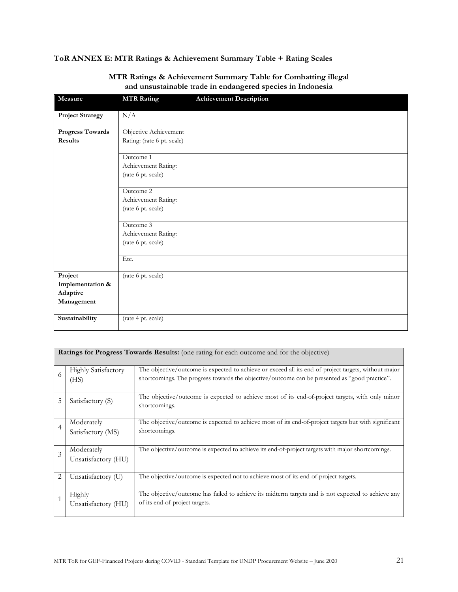## **ToR ANNEX E: MTR Ratings & Achievement Summary Table + Rating Scales**

| Measure                 | <b>MTR Rating</b>                         | <b>Achievement Description</b> |
|-------------------------|-------------------------------------------|--------------------------------|
|                         |                                           |                                |
| <b>Project Strategy</b> | N/A                                       |                                |
| <b>Progress Towards</b> | Objective Achievement                     |                                |
| Results                 | Rating: (rate 6 pt. scale)                |                                |
|                         |                                           |                                |
|                         | Outcome 1                                 |                                |
|                         | Achievement Rating:                       |                                |
|                         | (rate 6 pt. scale)                        |                                |
|                         |                                           |                                |
|                         | Outcome 2                                 |                                |
|                         | Achievement Rating:                       |                                |
|                         | (rate 6 pt. scale)                        |                                |
|                         | Outcome 3                                 |                                |
|                         |                                           |                                |
|                         | Achievement Rating:<br>(rate 6 pt. scale) |                                |
|                         |                                           |                                |
|                         | Etc.                                      |                                |
|                         |                                           |                                |
| Project                 | (rate 6 pt. scale)                        |                                |
| Implementation &        |                                           |                                |
| Adaptive                |                                           |                                |
| Management              |                                           |                                |
|                         |                                           |                                |
| Sustainability          | (rate 4 pt. scale)                        |                                |
|                         |                                           |                                |

## **MTR Ratings & Achievement Summary Table for Combatting illegal and unsustainable trade in endangered species in Indonesia**

|                | <b>Ratings for Progress Towards Results:</b> (one rating for each outcome and for the objective) |                                                                                                                                                                                                       |  |  |  |
|----------------|--------------------------------------------------------------------------------------------------|-------------------------------------------------------------------------------------------------------------------------------------------------------------------------------------------------------|--|--|--|
| 6              | <b>Highly Satisfactory</b><br>(HS)                                                               | The objective/outcome is expected to achieve or exceed all its end-of-project targets, without major<br>shortcomings. The progress towards the objective/outcome can be presented as "good practice". |  |  |  |
| 5              | Satisfactory (S)                                                                                 | The objective/outcome is expected to achieve most of its end-of-project targets, with only minor<br>shortcomings.                                                                                     |  |  |  |
| $\overline{4}$ | Moderately<br>Satisfactory (MS)                                                                  | The objective/outcome is expected to achieve most of its end-of-project targets but with significant<br>shortcomings.                                                                                 |  |  |  |
| 3              | Moderately<br>Unsatisfactory (HU)                                                                | The objective/outcome is expected to achieve its end-of-project targets with major shortcomings.                                                                                                      |  |  |  |
| $\overline{2}$ | Unsatisfactory (U)                                                                               | The objective/outcome is expected not to achieve most of its end-of-project targets.                                                                                                                  |  |  |  |
| $\mathbf{1}$   | Highly<br>Unsatisfactory (HU)                                                                    | The objective/outcome has failed to achieve its midterm targets and is not expected to achieve any<br>of its end-of-project targets.                                                                  |  |  |  |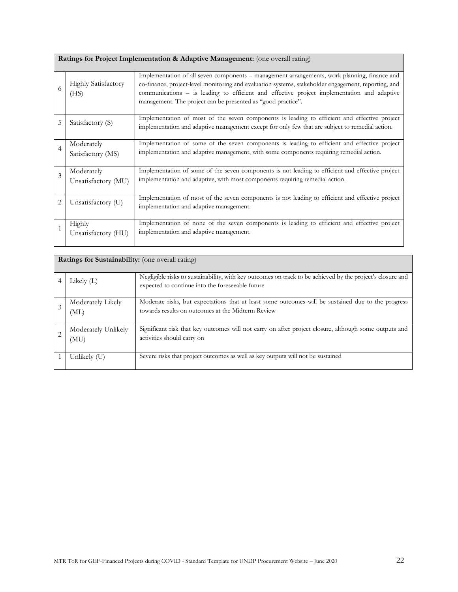|  |  | Ratings for Project Implementation & Adaptive Management: (one overall rating) |
|--|--|--------------------------------------------------------------------------------|
|  |  |                                                                                |

| 6              | <b>Highly Satisfactory</b><br>(HS) | Implementation of all seven components – management arrangements, work planning, finance and<br>co-finance, project-level monitoring and evaluation systems, stakeholder engagement, reporting, and<br>communications – is leading to efficient and effective project implementation and adaptive<br>management. The project can be presented as "good practice". |
|----------------|------------------------------------|-------------------------------------------------------------------------------------------------------------------------------------------------------------------------------------------------------------------------------------------------------------------------------------------------------------------------------------------------------------------|
| 5              | Satisfactory (S)                   | Implementation of most of the seven components is leading to efficient and effective project<br>implementation and adaptive management except for only few that are subject to remedial action.                                                                                                                                                                   |
| 4              | Moderately<br>Satisfactory (MS)    | Implementation of some of the seven components is leading to efficient and effective project<br>implementation and adaptive management, with some components requiring remedial action.                                                                                                                                                                           |
| 3              | Moderately<br>Unsatisfactory (MU)  | Implementation of some of the seven components is not leading to efficient and effective project<br>implementation and adaptive, with most components requiring remedial action.                                                                                                                                                                                  |
| $\overline{2}$ | Unsatisfactory (U)                 | Implementation of most of the seven components is not leading to efficient and effective project<br>implementation and adaptive management.                                                                                                                                                                                                                       |
|                | Highly<br>Unsatisfactory (HU)      | Implementation of none of the seven components is leading to efficient and effective project<br>implementation and adaptive management.                                                                                                                                                                                                                           |

|   | <b>Ratings for Sustainability:</b> (one overall rating) |                                                                                                                                                                |  |  |  |
|---|---------------------------------------------------------|----------------------------------------------------------------------------------------------------------------------------------------------------------------|--|--|--|
|   | Likely $(L)$                                            | Negligible risks to sustainability, with key outcomes on track to be achieved by the project's closure and<br>expected to continue into the foreseeable future |  |  |  |
| 3 | Moderately Likely<br>(ML)                               | Moderate risks, but expectations that at least some outcomes will be sustained due to the progress<br>towards results on outcomes at the Midterm Review        |  |  |  |
|   | Moderately Unlikely<br>(MU)                             | Significant risk that key outcomes will not carry on after project closure, although some outputs and<br>activities should carry on                            |  |  |  |
|   | Unlikely (U)                                            | Severe risks that project outcomes as well as key outputs will not be sustained                                                                                |  |  |  |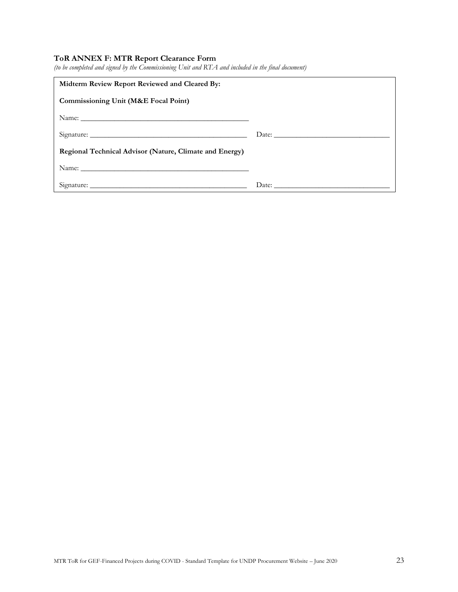## **ToR ANNEX F: MTR Report Clearance Form**

|  |  | (to be completed and signed by the Commissioning Unit and RTA and included in the final document) |  |
|--|--|---------------------------------------------------------------------------------------------------|--|
|  |  |                                                                                                   |  |

| Midterm Review Report Reviewed and Cleared By:          |                                                                                                                                                                                                                                                                                                                                                                                                               |
|---------------------------------------------------------|---------------------------------------------------------------------------------------------------------------------------------------------------------------------------------------------------------------------------------------------------------------------------------------------------------------------------------------------------------------------------------------------------------------|
| Commissioning Unit (M&E Focal Point)                    |                                                                                                                                                                                                                                                                                                                                                                                                               |
|                                                         |                                                                                                                                                                                                                                                                                                                                                                                                               |
|                                                         |                                                                                                                                                                                                                                                                                                                                                                                                               |
| Regional Technical Advisor (Nature, Climate and Energy) |                                                                                                                                                                                                                                                                                                                                                                                                               |
|                                                         |                                                                                                                                                                                                                                                                                                                                                                                                               |
|                                                         | Date: $\frac{1}{\sqrt{1-\frac{1}{2}}\sqrt{1-\frac{1}{2}}\sqrt{1-\frac{1}{2}}\sqrt{1-\frac{1}{2}}\sqrt{1-\frac{1}{2}}\sqrt{1-\frac{1}{2}}\sqrt{1-\frac{1}{2}}\sqrt{1-\frac{1}{2}}\sqrt{1-\frac{1}{2}}\sqrt{1-\frac{1}{2}}\sqrt{1-\frac{1}{2}}\sqrt{1-\frac{1}{2}}\sqrt{1-\frac{1}{2}}\sqrt{1-\frac{1}{2}}\sqrt{1-\frac{1}{2}}\sqrt{1-\frac{1}{2}}\sqrt{1-\frac{1}{2}}\sqrt{1-\frac{1}{2}}\sqrt{1-\frac{1}{2}}$ |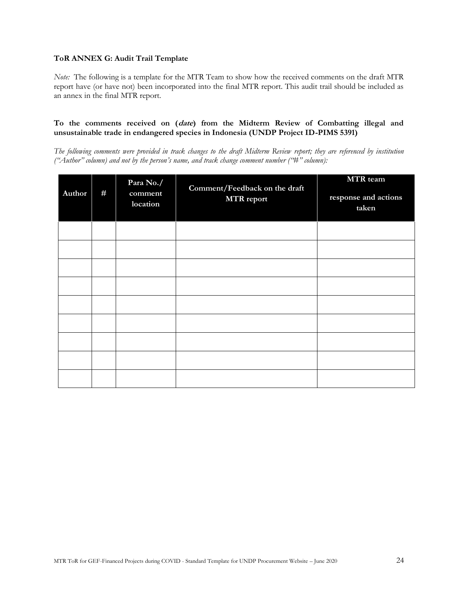#### **ToR ANNEX G: Audit Trail Template**

*Note:* The following is a template for the MTR Team to show how the received comments on the draft MTR report have (or have not) been incorporated into the final MTR report. This audit trail should be included as an annex in the final MTR report.

#### **To the comments received on (date) from the Midterm Review of Combatting illegal and unsustainable trade in endangered species in Indonesia (UNDP Project ID-PIMS 5391)**

*The following comments were provided in track changes to the draft Midterm Review report; they are referenced by institution ("Author" column) and not by the person's name, and track change comment number ("#" column):*

| Author | # | Para No./<br>comment<br>location | Comment/Feedback on the draft<br><b>MTR</b> report | MTR team<br>response and actions<br>taken |
|--------|---|----------------------------------|----------------------------------------------------|-------------------------------------------|
|        |   |                                  |                                                    |                                           |
|        |   |                                  |                                                    |                                           |
|        |   |                                  |                                                    |                                           |
|        |   |                                  |                                                    |                                           |
|        |   |                                  |                                                    |                                           |
|        |   |                                  |                                                    |                                           |
|        |   |                                  |                                                    |                                           |
|        |   |                                  |                                                    |                                           |
|        |   |                                  |                                                    |                                           |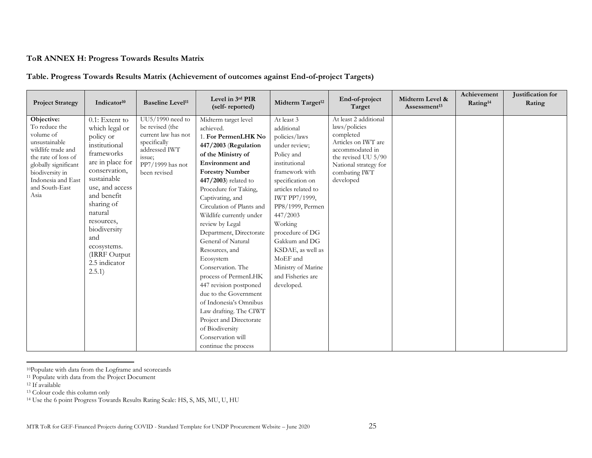## **ToR ANNEX H: Progress Towards Results Matrix**

## **Table. Progress Towards Results Matrix (Achievement of outcomes against End-of-project Targets)**

| <b>Project Strategy</b>                                                                                                                                                                           | Indicator <sup>10</sup>                                                                                                                                                                                                                                                                     | <b>Baseline Level<sup>11</sup></b>                                                                                                          | Level in 3rd PIR<br>(self-reported)                                                                                                                                                                                                                                                                                                                                                                                                                                                                                                                                                                                                  | Midterm Target <sup>12</sup>                                                                                                                                                                                                                                                                                                                     | End-of-project<br>Target                                                                                                                                                    | Midterm Level &<br>Assessment <sup>13</sup> | Achievement<br>Rating <sup>14</sup> | Justification for<br>Rating |
|---------------------------------------------------------------------------------------------------------------------------------------------------------------------------------------------------|---------------------------------------------------------------------------------------------------------------------------------------------------------------------------------------------------------------------------------------------------------------------------------------------|---------------------------------------------------------------------------------------------------------------------------------------------|--------------------------------------------------------------------------------------------------------------------------------------------------------------------------------------------------------------------------------------------------------------------------------------------------------------------------------------------------------------------------------------------------------------------------------------------------------------------------------------------------------------------------------------------------------------------------------------------------------------------------------------|--------------------------------------------------------------------------------------------------------------------------------------------------------------------------------------------------------------------------------------------------------------------------------------------------------------------------------------------------|-----------------------------------------------------------------------------------------------------------------------------------------------------------------------------|---------------------------------------------|-------------------------------------|-----------------------------|
| Objective:<br>To reduce the<br>volume of<br>unsustainable<br>wildlife trade and<br>the rate of loss of<br>globally significant<br>biodiversity in<br>Indonesia and East<br>and South-East<br>Asia | 0.1: Extent to<br>which legal or<br>policy or<br>institutional<br>frameworks<br>are in place for<br>conservation,<br>sustainable<br>use, and access<br>and benefit<br>sharing of<br>natural<br>resources,<br>biodiversity<br>and<br>ecosystems.<br>(IRRF Output)<br>2.5 indicator<br>2.5.1) | $UU5/1990$ need to<br>be revised (the<br>current law has not<br>specifically<br>addressed IWT<br>issue;<br>PP7/1999 has not<br>been revised | Midterm target level<br>achieved.<br>1. For PermenLHK No<br>447/2003 (Regulation<br>of the Ministry of<br>Environment and<br><b>Forestry Number</b><br>$447/2003$ related to<br>Procedure for Taking,<br>Captivating, and<br>Circulation of Plants and<br>Wildlife currently under<br>review by Legal<br>Department, Directorate<br>General of Natural<br>Resources, and<br>Ecosystem<br>Conservation. The<br>process of PermenLHK<br>447 revision postponed<br>due to the Government<br>of Indonesia's Omnibus<br>Law drafting. The CIWT<br>Project and Directorate<br>of Biodiversity<br>Conservation will<br>continue the process | At least 3<br>additional<br>policies/laws<br>under review;<br>Policy and<br>institutional<br>framework with<br>specification on<br>articles related to<br>IWT PP7/1999,<br>PP8/1999, Permen<br>447/2003<br>Working<br>procedure of DG<br>Gakkum and DG<br>KSDAE, as well as<br>MoEF and<br>Ministry of Marine<br>and Fisheries are<br>developed. | At least 2 additional<br>laws/policies<br>completed<br>Articles on IWT are<br>accommodated in<br>the revised UU 5/90<br>National strategy for<br>combating IWT<br>developed |                                             |                                     |                             |

<sup>10</sup>Populate with data from the Logframe and scorecards

<sup>11</sup> Populate with data from the Project Document

<sup>&</sup>lt;sup>12</sup> If available

<sup>13</sup> Colour code this column only

<sup>14</sup> Use the 6 point Progress Towards Results Rating Scale: HS, S, MS, MU, U, HU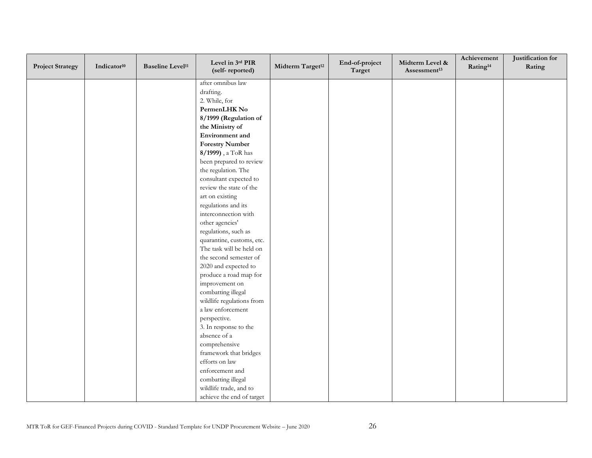| <b>Project Strategy</b> | Indicator <sup>10</sup> | <b>Baseline Level<sup>11</sup></b> | Level in 3rd PIR<br>(self-reported) | Midterm Target <sup>12</sup> | End-of-project<br>Target | Midterm Level &<br>Assessment <sup>13</sup> | Achievement<br>Rating <sup>14</sup> | Justification for<br>Rating |
|-------------------------|-------------------------|------------------------------------|-------------------------------------|------------------------------|--------------------------|---------------------------------------------|-------------------------------------|-----------------------------|
|                         |                         |                                    | after omnibus law                   |                              |                          |                                             |                                     |                             |
|                         |                         |                                    | drafting.                           |                              |                          |                                             |                                     |                             |
|                         |                         |                                    | 2. While, for                       |                              |                          |                                             |                                     |                             |
|                         |                         |                                    | PermenLHK No                        |                              |                          |                                             |                                     |                             |
|                         |                         |                                    | 8/1999 (Regulation of               |                              |                          |                                             |                                     |                             |
|                         |                         |                                    | the Ministry of                     |                              |                          |                                             |                                     |                             |
|                         |                         |                                    | Environment and                     |                              |                          |                                             |                                     |                             |
|                         |                         |                                    | <b>Forestry Number</b>              |                              |                          |                                             |                                     |                             |
|                         |                         |                                    | 8/1999), a ToR has                  |                              |                          |                                             |                                     |                             |
|                         |                         |                                    | been prepared to review             |                              |                          |                                             |                                     |                             |
|                         |                         |                                    | the regulation. The                 |                              |                          |                                             |                                     |                             |
|                         |                         |                                    | consultant expected to              |                              |                          |                                             |                                     |                             |
|                         |                         |                                    | review the state of the             |                              |                          |                                             |                                     |                             |
|                         |                         |                                    | art on existing                     |                              |                          |                                             |                                     |                             |
|                         |                         |                                    | regulations and its                 |                              |                          |                                             |                                     |                             |
|                         |                         |                                    | interconnection with                |                              |                          |                                             |                                     |                             |
|                         |                         |                                    | other agencies'                     |                              |                          |                                             |                                     |                             |
|                         |                         |                                    | regulations, such as                |                              |                          |                                             |                                     |                             |
|                         |                         |                                    | quarantine, customs, etc.           |                              |                          |                                             |                                     |                             |
|                         |                         |                                    | The task will be held on            |                              |                          |                                             |                                     |                             |
|                         |                         |                                    | the second semester of              |                              |                          |                                             |                                     |                             |
|                         |                         |                                    | 2020 and expected to                |                              |                          |                                             |                                     |                             |
|                         |                         |                                    | produce a road map for              |                              |                          |                                             |                                     |                             |
|                         |                         |                                    | improvement on                      |                              |                          |                                             |                                     |                             |
|                         |                         |                                    | combatting illegal                  |                              |                          |                                             |                                     |                             |
|                         |                         |                                    | wildlife regulations from           |                              |                          |                                             |                                     |                             |
|                         |                         |                                    | a law enforcement                   |                              |                          |                                             |                                     |                             |
|                         |                         |                                    | perspective.                        |                              |                          |                                             |                                     |                             |
|                         |                         |                                    | 3. In response to the               |                              |                          |                                             |                                     |                             |
|                         |                         |                                    | absence of a                        |                              |                          |                                             |                                     |                             |
|                         |                         |                                    | comprehensive                       |                              |                          |                                             |                                     |                             |
|                         |                         |                                    | framework that bridges              |                              |                          |                                             |                                     |                             |
|                         |                         |                                    | efforts on law                      |                              |                          |                                             |                                     |                             |
|                         |                         |                                    | enforcement and                     |                              |                          |                                             |                                     |                             |
|                         |                         |                                    | combatting illegal                  |                              |                          |                                             |                                     |                             |
|                         |                         |                                    | wildlife trade, and to              |                              |                          |                                             |                                     |                             |
|                         |                         |                                    | achieve the end of target           |                              |                          |                                             |                                     |                             |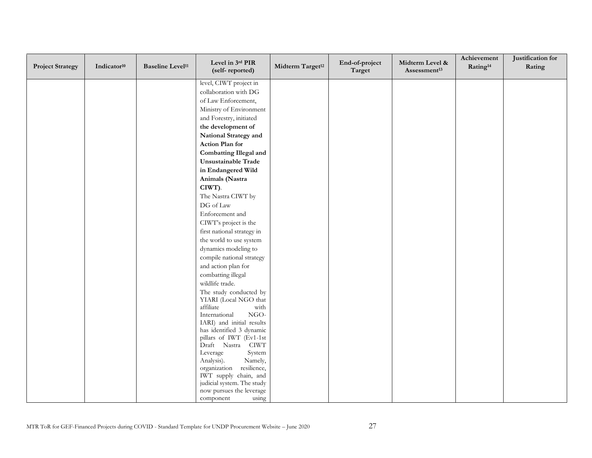| <b>Project Strategy</b> | Indicator <sup>10</sup> | <b>Baseline Level<sup>11</sup></b> | Level in 3rd PIR<br>(self-reported)                  | Midterm Target <sup>12</sup> | End-of-project<br>Target | Midterm Level &<br>Assessment <sup>13</sup> | Achievement<br>Rating <sup>14</sup> | Justification for<br>Rating |
|-------------------------|-------------------------|------------------------------------|------------------------------------------------------|------------------------------|--------------------------|---------------------------------------------|-------------------------------------|-----------------------------|
|                         |                         |                                    | level, CIWT project in                               |                              |                          |                                             |                                     |                             |
|                         |                         |                                    | collaboration with DG                                |                              |                          |                                             |                                     |                             |
|                         |                         |                                    | of Law Enforcement,                                  |                              |                          |                                             |                                     |                             |
|                         |                         |                                    | Ministry of Environment                              |                              |                          |                                             |                                     |                             |
|                         |                         |                                    | and Forestry, initiated                              |                              |                          |                                             |                                     |                             |
|                         |                         |                                    | the development of                                   |                              |                          |                                             |                                     |                             |
|                         |                         |                                    | National Strategy and                                |                              |                          |                                             |                                     |                             |
|                         |                         |                                    | Action Plan for                                      |                              |                          |                                             |                                     |                             |
|                         |                         |                                    | <b>Combatting Illegal and</b>                        |                              |                          |                                             |                                     |                             |
|                         |                         |                                    | Unsustainable Trade                                  |                              |                          |                                             |                                     |                             |
|                         |                         |                                    | in Endangered Wild                                   |                              |                          |                                             |                                     |                             |
|                         |                         |                                    | Animals (Nastra                                      |                              |                          |                                             |                                     |                             |
|                         |                         |                                    | CIWT).                                               |                              |                          |                                             |                                     |                             |
|                         |                         |                                    | The Nastra CIWT by                                   |                              |                          |                                             |                                     |                             |
|                         |                         |                                    | DG of Law                                            |                              |                          |                                             |                                     |                             |
|                         |                         |                                    | Enforcement and                                      |                              |                          |                                             |                                     |                             |
|                         |                         |                                    | CIWT's project is the                                |                              |                          |                                             |                                     |                             |
|                         |                         |                                    | first national strategy in                           |                              |                          |                                             |                                     |                             |
|                         |                         |                                    | the world to use system                              |                              |                          |                                             |                                     |                             |
|                         |                         |                                    | dynamics modeling to                                 |                              |                          |                                             |                                     |                             |
|                         |                         |                                    | compile national strategy                            |                              |                          |                                             |                                     |                             |
|                         |                         |                                    | and action plan for                                  |                              |                          |                                             |                                     |                             |
|                         |                         |                                    | combatting illegal                                   |                              |                          |                                             |                                     |                             |
|                         |                         |                                    | wildlife trade.                                      |                              |                          |                                             |                                     |                             |
|                         |                         |                                    | The study conducted by                               |                              |                          |                                             |                                     |                             |
|                         |                         |                                    | YIARI (Local NGO that                                |                              |                          |                                             |                                     |                             |
|                         |                         |                                    | affiliate<br>with<br>$_{\rm NGO}$<br>International   |                              |                          |                                             |                                     |                             |
|                         |                         |                                    | IARI) and initial results                            |                              |                          |                                             |                                     |                             |
|                         |                         |                                    | has identified 3 dynamic                             |                              |                          |                                             |                                     |                             |
|                         |                         |                                    | pillars of IWT (Ev1-1st                              |                              |                          |                                             |                                     |                             |
|                         |                         |                                    | Draft Nastra CIWT                                    |                              |                          |                                             |                                     |                             |
|                         |                         |                                    | Leverage<br>System                                   |                              |                          |                                             |                                     |                             |
|                         |                         |                                    | Analysis).<br>Namely,                                |                              |                          |                                             |                                     |                             |
|                         |                         |                                    | resilience,<br>organization<br>IWT supply chain, and |                              |                          |                                             |                                     |                             |
|                         |                         |                                    | judicial system. The study                           |                              |                          |                                             |                                     |                             |
|                         |                         |                                    | now pursues the leverage                             |                              |                          |                                             |                                     |                             |
|                         |                         |                                    | using<br>component                                   |                              |                          |                                             |                                     |                             |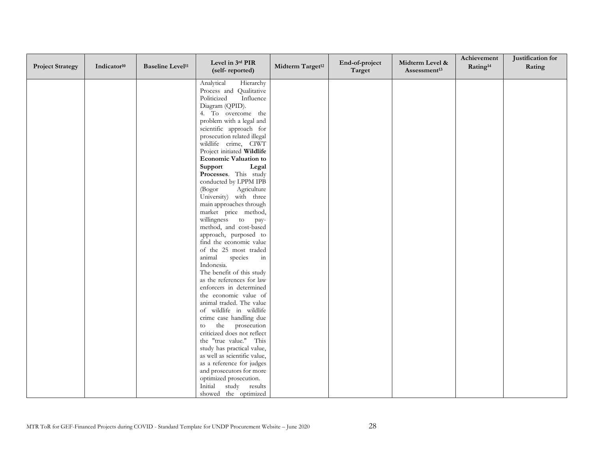| <b>Project Strategy</b> | Indicator <sup>10</sup> | <b>Baseline Level<sup>11</sup></b> | Level in 3rd PIR<br>(self-reported)                        | Midterm Target <sup>12</sup> | End-of-project<br>Target | Midterm Level &<br>Assessment <sup>13</sup> | Achievement<br>Rating <sup>14</sup> | Justification for<br>Rating |
|-------------------------|-------------------------|------------------------------------|------------------------------------------------------------|------------------------------|--------------------------|---------------------------------------------|-------------------------------------|-----------------------------|
|                         |                         |                                    | Analytical<br>Hierarchy                                    |                              |                          |                                             |                                     |                             |
|                         |                         |                                    | Process and Qualitative                                    |                              |                          |                                             |                                     |                             |
|                         |                         |                                    | Politicized<br>Influence                                   |                              |                          |                                             |                                     |                             |
|                         |                         |                                    | Diagram (QPID).                                            |                              |                          |                                             |                                     |                             |
|                         |                         |                                    | 4. To overcome the                                         |                              |                          |                                             |                                     |                             |
|                         |                         |                                    | problem with a legal and                                   |                              |                          |                                             |                                     |                             |
|                         |                         |                                    | scientific approach for<br>prosecution related illegal     |                              |                          |                                             |                                     |                             |
|                         |                         |                                    | wildlife crime, CIWT                                       |                              |                          |                                             |                                     |                             |
|                         |                         |                                    | Project initiated Wildlife                                 |                              |                          |                                             |                                     |                             |
|                         |                         |                                    | <b>Economic Valuation to</b>                               |                              |                          |                                             |                                     |                             |
|                         |                         |                                    | Support<br>Legal                                           |                              |                          |                                             |                                     |                             |
|                         |                         |                                    | Processes. This study                                      |                              |                          |                                             |                                     |                             |
|                         |                         |                                    | conducted by LPPM IPB                                      |                              |                          |                                             |                                     |                             |
|                         |                         |                                    | (Bogor<br>Agriculture                                      |                              |                          |                                             |                                     |                             |
|                         |                         |                                    | University) with three                                     |                              |                          |                                             |                                     |                             |
|                         |                         |                                    | main approaches through<br>market price method,            |                              |                          |                                             |                                     |                             |
|                         |                         |                                    | willingness to pay-                                        |                              |                          |                                             |                                     |                             |
|                         |                         |                                    | method, and cost-based                                     |                              |                          |                                             |                                     |                             |
|                         |                         |                                    | approach, purposed to                                      |                              |                          |                                             |                                     |                             |
|                         |                         |                                    | find the economic value                                    |                              |                          |                                             |                                     |                             |
|                         |                         |                                    | of the 25 most traded                                      |                              |                          |                                             |                                     |                             |
|                         |                         |                                    | species<br>animal<br>in                                    |                              |                          |                                             |                                     |                             |
|                         |                         |                                    | Indonesia.                                                 |                              |                          |                                             |                                     |                             |
|                         |                         |                                    | The benefit of this study<br>as the references for law     |                              |                          |                                             |                                     |                             |
|                         |                         |                                    | enforcers in determined                                    |                              |                          |                                             |                                     |                             |
|                         |                         |                                    | the economic value of                                      |                              |                          |                                             |                                     |                             |
|                         |                         |                                    | animal traded. The value                                   |                              |                          |                                             |                                     |                             |
|                         |                         |                                    | of wildlife in wildlife                                    |                              |                          |                                             |                                     |                             |
|                         |                         |                                    | crime case handling due                                    |                              |                          |                                             |                                     |                             |
|                         |                         |                                    | the prosecution<br>to                                      |                              |                          |                                             |                                     |                             |
|                         |                         |                                    | criticized does not reflect                                |                              |                          |                                             |                                     |                             |
|                         |                         |                                    | the "true value." This                                     |                              |                          |                                             |                                     |                             |
|                         |                         |                                    | study has practical value,<br>as well as scientific value, |                              |                          |                                             |                                     |                             |
|                         |                         |                                    | as a reference for judges                                  |                              |                          |                                             |                                     |                             |
|                         |                         |                                    | and prosecutors for more                                   |                              |                          |                                             |                                     |                             |
|                         |                         |                                    | optimized prosecution.                                     |                              |                          |                                             |                                     |                             |
|                         |                         |                                    | Initial study results                                      |                              |                          |                                             |                                     |                             |
|                         |                         |                                    | showed the optimized                                       |                              |                          |                                             |                                     |                             |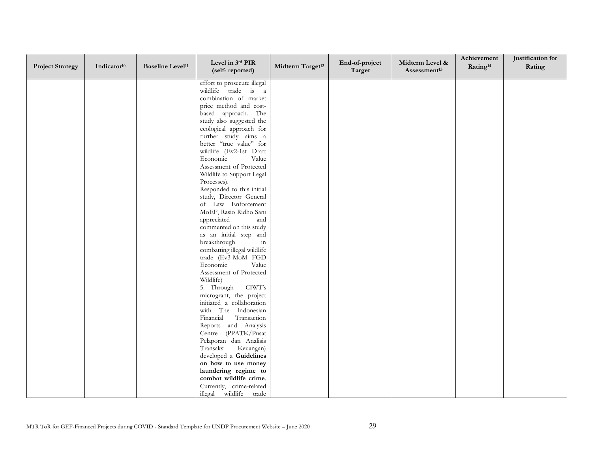| <b>Project Strategy</b> | Indicator <sup>10</sup> | <b>Baseline Level<sup>11</sup></b> | Level in 3rd PIR<br>(self-reported)                  | Midterm Target <sup>12</sup> | End-of-project<br>Target | Midterm Level &<br>Assessment <sup>13</sup> | Achievement<br>Rating <sup>14</sup> | Justification for<br>Rating |
|-------------------------|-------------------------|------------------------------------|------------------------------------------------------|------------------------------|--------------------------|---------------------------------------------|-------------------------------------|-----------------------------|
|                         |                         |                                    | effort to prosecute illegal                          |                              |                          |                                             |                                     |                             |
|                         |                         |                                    | wildlife trade is a                                  |                              |                          |                                             |                                     |                             |
|                         |                         |                                    | combination of market                                |                              |                          |                                             |                                     |                             |
|                         |                         |                                    | price method and cost-                               |                              |                          |                                             |                                     |                             |
|                         |                         |                                    | based approach. The                                  |                              |                          |                                             |                                     |                             |
|                         |                         |                                    | study also suggested the<br>ecological approach for  |                              |                          |                                             |                                     |                             |
|                         |                         |                                    | further study aims a                                 |                              |                          |                                             |                                     |                             |
|                         |                         |                                    | better "true value" for                              |                              |                          |                                             |                                     |                             |
|                         |                         |                                    | wildlife (Ev2-1st Draft                              |                              |                          |                                             |                                     |                             |
|                         |                         |                                    | Economic<br>Value                                    |                              |                          |                                             |                                     |                             |
|                         |                         |                                    | Assessment of Protected                              |                              |                          |                                             |                                     |                             |
|                         |                         |                                    | Wildlife to Support Legal                            |                              |                          |                                             |                                     |                             |
|                         |                         |                                    | Processes).                                          |                              |                          |                                             |                                     |                             |
|                         |                         |                                    | Responded to this initial                            |                              |                          |                                             |                                     |                             |
|                         |                         |                                    | study, Director General                              |                              |                          |                                             |                                     |                             |
|                         |                         |                                    | of Law Enforcement<br>MoEF, Rasio Ridho Sani         |                              |                          |                                             |                                     |                             |
|                         |                         |                                    | appreciated<br>and                                   |                              |                          |                                             |                                     |                             |
|                         |                         |                                    | commented on this study                              |                              |                          |                                             |                                     |                             |
|                         |                         |                                    | as an initial step and                               |                              |                          |                                             |                                     |                             |
|                         |                         |                                    | breakthrough<br>in                                   |                              |                          |                                             |                                     |                             |
|                         |                         |                                    | combatting illegal wildlife                          |                              |                          |                                             |                                     |                             |
|                         |                         |                                    | trade (Ev3-MoM FGD                                   |                              |                          |                                             |                                     |                             |
|                         |                         |                                    | Economic<br>Value                                    |                              |                          |                                             |                                     |                             |
|                         |                         |                                    | Assessment of Protected                              |                              |                          |                                             |                                     |                             |
|                         |                         |                                    | Wildlife)                                            |                              |                          |                                             |                                     |                             |
|                         |                         |                                    | 5. Through<br>CIWT's                                 |                              |                          |                                             |                                     |                             |
|                         |                         |                                    | microgrant, the project<br>initiated a collaboration |                              |                          |                                             |                                     |                             |
|                         |                         |                                    | with The Indonesian                                  |                              |                          |                                             |                                     |                             |
|                         |                         |                                    | Financial<br>Transaction                             |                              |                          |                                             |                                     |                             |
|                         |                         |                                    | Reports and Analysis                                 |                              |                          |                                             |                                     |                             |
|                         |                         |                                    | Centre (PPATK/Pusat                                  |                              |                          |                                             |                                     |                             |
|                         |                         |                                    | Pelaporan dan Analisis                               |                              |                          |                                             |                                     |                             |
|                         |                         |                                    | Transaksi<br>Keuangan)                               |                              |                          |                                             |                                     |                             |
|                         |                         |                                    | developed a Guidelines                               |                              |                          |                                             |                                     |                             |
|                         |                         |                                    | on how to use money                                  |                              |                          |                                             |                                     |                             |
|                         |                         |                                    | laundering regime to                                 |                              |                          |                                             |                                     |                             |
|                         |                         |                                    | combat wildlife crime.<br>Currently, crime-related   |                              |                          |                                             |                                     |                             |
|                         |                         |                                    | illegal wildlife trade                               |                              |                          |                                             |                                     |                             |
|                         |                         |                                    |                                                      |                              |                          |                                             |                                     |                             |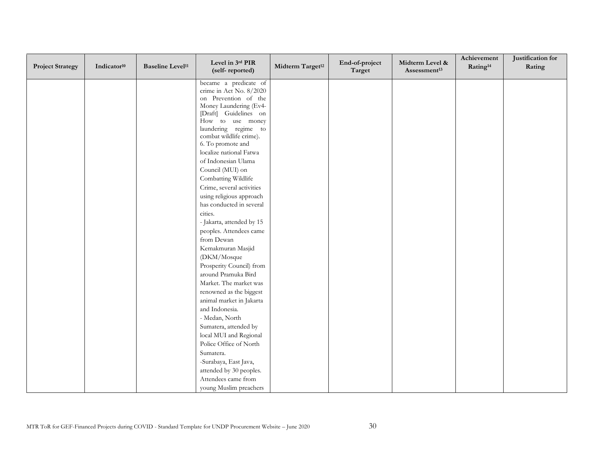| <b>Project Strategy</b> | Indicator <sup>10</sup> | <b>Baseline Level<sup>11</sup></b> | Level in 3rd PIR<br>(self-reported)             | Midterm Target <sup>12</sup> | End-of-project<br>Target | Midterm Level &<br>Assessment <sup>13</sup> | Achievement<br>Rating <sup>14</sup> | Justification for<br>Rating |
|-------------------------|-------------------------|------------------------------------|-------------------------------------------------|------------------------------|--------------------------|---------------------------------------------|-------------------------------------|-----------------------------|
|                         |                         |                                    | became a predicate of                           |                              |                          |                                             |                                     |                             |
|                         |                         |                                    | crime in Act No. 8/2020<br>on Prevention of the |                              |                          |                                             |                                     |                             |
|                         |                         |                                    | Money Laundering (Ev4-                          |                              |                          |                                             |                                     |                             |
|                         |                         |                                    | [Draft] Guidelines on                           |                              |                          |                                             |                                     |                             |
|                         |                         |                                    | How to use money                                |                              |                          |                                             |                                     |                             |
|                         |                         |                                    | laundering regime to                            |                              |                          |                                             |                                     |                             |
|                         |                         |                                    | combat wildlife crime).                         |                              |                          |                                             |                                     |                             |
|                         |                         |                                    | 6. To promote and                               |                              |                          |                                             |                                     |                             |
|                         |                         |                                    | localize national Fatwa<br>of Indonesian Ulama  |                              |                          |                                             |                                     |                             |
|                         |                         |                                    | Council (MUI) on                                |                              |                          |                                             |                                     |                             |
|                         |                         |                                    | Combatting Wildlife                             |                              |                          |                                             |                                     |                             |
|                         |                         |                                    | Crime, several activities                       |                              |                          |                                             |                                     |                             |
|                         |                         |                                    | using religious approach                        |                              |                          |                                             |                                     |                             |
|                         |                         |                                    | has conducted in several                        |                              |                          |                                             |                                     |                             |
|                         |                         |                                    | cities.                                         |                              |                          |                                             |                                     |                             |
|                         |                         |                                    | - Jakarta, attended by 15                       |                              |                          |                                             |                                     |                             |
|                         |                         |                                    | peoples. Attendees came                         |                              |                          |                                             |                                     |                             |
|                         |                         |                                    | from Dewan                                      |                              |                          |                                             |                                     |                             |
|                         |                         |                                    | Kemakmuran Masjid                               |                              |                          |                                             |                                     |                             |
|                         |                         |                                    | (DKM/Mosque                                     |                              |                          |                                             |                                     |                             |
|                         |                         |                                    | Prosperity Council) from                        |                              |                          |                                             |                                     |                             |
|                         |                         |                                    | around Pramuka Bird                             |                              |                          |                                             |                                     |                             |
|                         |                         |                                    | Market. The market was                          |                              |                          |                                             |                                     |                             |
|                         |                         |                                    | renowned as the biggest                         |                              |                          |                                             |                                     |                             |
|                         |                         |                                    | animal market in Jakarta                        |                              |                          |                                             |                                     |                             |
|                         |                         |                                    | and Indonesia.                                  |                              |                          |                                             |                                     |                             |
|                         |                         |                                    | - Medan, North                                  |                              |                          |                                             |                                     |                             |
|                         |                         |                                    | Sumatera, attended by                           |                              |                          |                                             |                                     |                             |
|                         |                         |                                    | local MUI and Regional                          |                              |                          |                                             |                                     |                             |
|                         |                         |                                    | Police Office of North                          |                              |                          |                                             |                                     |                             |
|                         |                         |                                    | Sumatera.                                       |                              |                          |                                             |                                     |                             |
|                         |                         |                                    | -Surabaya, East Java,                           |                              |                          |                                             |                                     |                             |
|                         |                         |                                    | attended by 30 peoples.                         |                              |                          |                                             |                                     |                             |
|                         |                         |                                    | Attendees came from                             |                              |                          |                                             |                                     |                             |
|                         |                         |                                    | young Muslim preachers                          |                              |                          |                                             |                                     |                             |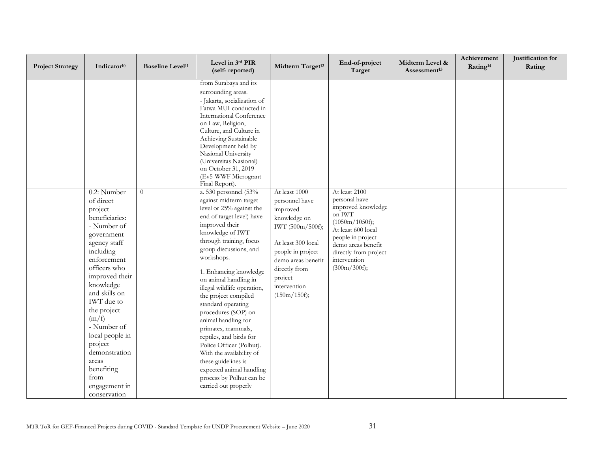| <b>Project Strategy</b> | Indicator <sup>10</sup>                                                                                                                                                                                                                                                                                                                                                   | <b>Baseline Level<sup>11</sup></b> | Level in 3rd PIR<br>(self-reported)                                                                                                                                                                                                                                                                                                                                                                                                                                                                                                                                                                                                                                                                                                                                                                                                                                                                                                                                  | Midterm Target <sup>12</sup>                                                                                                                                                                                 | End-of-project<br>Target                                                                                                                                                                                                        | Midterm Level &<br>Assessment <sup>13</sup> | Achievement<br>Rating <sup>14</sup> | Justification for<br>Rating |
|-------------------------|---------------------------------------------------------------------------------------------------------------------------------------------------------------------------------------------------------------------------------------------------------------------------------------------------------------------------------------------------------------------------|------------------------------------|----------------------------------------------------------------------------------------------------------------------------------------------------------------------------------------------------------------------------------------------------------------------------------------------------------------------------------------------------------------------------------------------------------------------------------------------------------------------------------------------------------------------------------------------------------------------------------------------------------------------------------------------------------------------------------------------------------------------------------------------------------------------------------------------------------------------------------------------------------------------------------------------------------------------------------------------------------------------|--------------------------------------------------------------------------------------------------------------------------------------------------------------------------------------------------------------|---------------------------------------------------------------------------------------------------------------------------------------------------------------------------------------------------------------------------------|---------------------------------------------|-------------------------------------|-----------------------------|
|                         | 0.2: Number<br>of direct<br>project<br>beneficiaries:<br>- Number of<br>government<br>agency staff<br>including<br>enforcement<br>officers who<br>improved their<br>knowledge<br>and skills on<br><b>IWT</b> due to<br>the project<br>(m/f)<br>- Number of<br>local people in<br>project<br>demonstration<br>areas<br>benefiting<br>from<br>engagement in<br>conservation | $\theta$                           | from Surabaya and its<br>surrounding areas.<br>- Jakarta, socialization of<br>Fatwa MUI conducted in<br>International Conference<br>on Law, Religion,<br>Culture, and Culture in<br>Achieving Sustainable<br>Development held by<br>Nasional University<br>(Universitas Nasional)<br>on October 31, 2019<br>(Ev5-WWF Microgrant<br>Final Report).<br>a. 530 personnel (53%<br>against midterm target<br>level or 25% against the<br>end of target level) have<br>improved their<br>knowledge of IWT<br>through training, focus<br>group discussions, and<br>workshops.<br>1. Enhancing knowledge<br>on animal handling in<br>illegal wildlife operation,<br>the project compiled<br>standard operating<br>procedures (SOP) on<br>animal handling for<br>primates, mammals,<br>reptiles, and birds for<br>Police Officer (Polhut).<br>With the availability of<br>these guidelines is<br>expected animal handling<br>process by Polhut can be<br>carried out properly | At least 1000<br>personnel have<br>improved<br>knowledge on<br>IWT (500m/500f);<br>At least 300 local<br>people in project<br>demo areas benefit<br>directly from<br>project<br>intervention<br>(150m/150f); | At least 2100<br>personal have<br>improved knowledge<br>on $\text{IWT}\hspace{1pt}$<br>(1050m/1050f);<br>At least 600 local<br>people in project<br>demo areas benefit<br>directly from project<br>intervention<br>(300m/300f); |                                             |                                     |                             |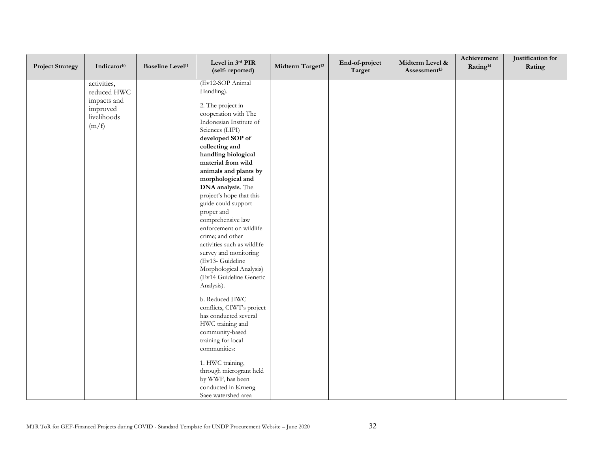| <b>Project Strategy</b> | Indicator <sup>10</sup>                                              | <b>Baseline Level<sup>11</sup></b> | Level in 3rd PIR<br>(self-reported)                                                                                                                                                                                                                                                                                                                                                                                                                                                                                                                                                                                                                                                                                                                                                                                                        | Midterm Target <sup>12</sup> | End-of-project<br>Target | Midterm Level &<br>Assessment <sup>13</sup> | Achievement<br>Rating <sup>14</sup> | Justification for<br>Rating |
|-------------------------|----------------------------------------------------------------------|------------------------------------|--------------------------------------------------------------------------------------------------------------------------------------------------------------------------------------------------------------------------------------------------------------------------------------------------------------------------------------------------------------------------------------------------------------------------------------------------------------------------------------------------------------------------------------------------------------------------------------------------------------------------------------------------------------------------------------------------------------------------------------------------------------------------------------------------------------------------------------------|------------------------------|--------------------------|---------------------------------------------|-------------------------------------|-----------------------------|
| (m/f)                   | activities,<br>reduced HWC<br>impacts and<br>improved<br>livelihoods |                                    | (Ev12-SOP Animal<br>Handling).<br>2. The project in<br>cooperation with The<br>Indonesian Institute of<br>Sciences (LIPI)<br>developed SOP of<br>collecting and<br>handling biological<br>material from wild<br>animals and plants by<br>morphological and<br>DNA analysis. The<br>project's hope that this<br>guide could support<br>proper and<br>comprehensive law<br>enforcement on wildlife<br>crime; and other<br>activities such as wildlife<br>survey and monitoring<br>(Ev13- Guideline<br>Morphological Analysis)<br>(Ev14 Guideline Genetic<br>Analysis).<br>b. Reduced HWC<br>conflicts, CIWT's project<br>has conducted several<br>HWC training and<br>community-based<br>training for local<br>communities:<br>1. HWC training,<br>through microgrant held<br>by WWF, has been<br>conducted in Krueng<br>Saee watershed area |                              |                          |                                             |                                     |                             |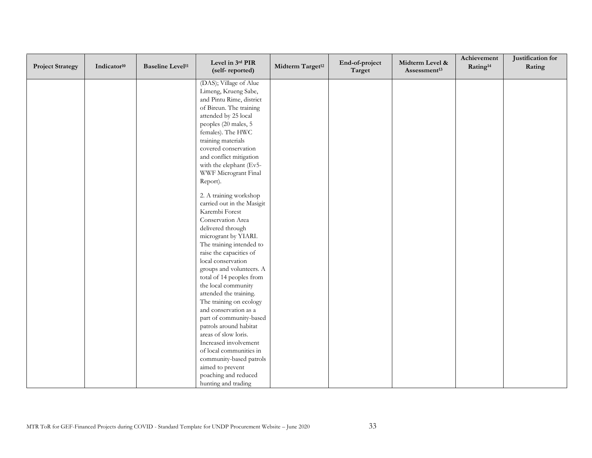| <b>Project Strategy</b> | Indicator <sup>10</sup> | <b>Baseline Level<sup>11</sup></b> | Level in 3rd PIR<br>(self-reported) | Midterm Target <sup>12</sup> | End-of-project<br>Target | Midterm Level &<br>Assessment <sup>13</sup> | Achievement<br>Rating <sup>14</sup> | Justification for<br>Rating |
|-------------------------|-------------------------|------------------------------------|-------------------------------------|------------------------------|--------------------------|---------------------------------------------|-------------------------------------|-----------------------------|
|                         |                         |                                    | (DAS); Village of Alue              |                              |                          |                                             |                                     |                             |
|                         |                         |                                    | Limeng, Krueng Sabe,                |                              |                          |                                             |                                     |                             |
|                         |                         |                                    | and Pintu Rime, district            |                              |                          |                                             |                                     |                             |
|                         |                         |                                    | of Bireun. The training             |                              |                          |                                             |                                     |                             |
|                         |                         |                                    | attended by 25 local                |                              |                          |                                             |                                     |                             |
|                         |                         |                                    | peoples (20 males, 5                |                              |                          |                                             |                                     |                             |
|                         |                         |                                    | females). The HWC                   |                              |                          |                                             |                                     |                             |
|                         |                         |                                    | training materials                  |                              |                          |                                             |                                     |                             |
|                         |                         |                                    | covered conservation                |                              |                          |                                             |                                     |                             |
|                         |                         |                                    | and conflict mitigation             |                              |                          |                                             |                                     |                             |
|                         |                         |                                    | with the elephant (Ev5-             |                              |                          |                                             |                                     |                             |
|                         |                         |                                    | WWF Microgrant Final                |                              |                          |                                             |                                     |                             |
|                         |                         |                                    | Report).                            |                              |                          |                                             |                                     |                             |
|                         |                         |                                    | 2. A training workshop              |                              |                          |                                             |                                     |                             |
|                         |                         |                                    | carried out in the Masigit          |                              |                          |                                             |                                     |                             |
|                         |                         |                                    | Karembi Forest                      |                              |                          |                                             |                                     |                             |
|                         |                         |                                    | Conservation Area                   |                              |                          |                                             |                                     |                             |
|                         |                         |                                    | delivered through                   |                              |                          |                                             |                                     |                             |
|                         |                         |                                    | microgrant by YIARI.                |                              |                          |                                             |                                     |                             |
|                         |                         |                                    | The training intended to            |                              |                          |                                             |                                     |                             |
|                         |                         |                                    | raise the capacities of             |                              |                          |                                             |                                     |                             |
|                         |                         |                                    | local conservation                  |                              |                          |                                             |                                     |                             |
|                         |                         |                                    | groups and volunteers. A            |                              |                          |                                             |                                     |                             |
|                         |                         |                                    | total of 14 peoples from            |                              |                          |                                             |                                     |                             |
|                         |                         |                                    | the local community                 |                              |                          |                                             |                                     |                             |
|                         |                         |                                    | attended the training.              |                              |                          |                                             |                                     |                             |
|                         |                         |                                    | The training on ecology             |                              |                          |                                             |                                     |                             |
|                         |                         |                                    | and conservation as a               |                              |                          |                                             |                                     |                             |
|                         |                         |                                    | part of community-based             |                              |                          |                                             |                                     |                             |
|                         |                         |                                    | patrols around habitat              |                              |                          |                                             |                                     |                             |
|                         |                         |                                    | areas of slow loris.                |                              |                          |                                             |                                     |                             |
|                         |                         |                                    | Increased involvement               |                              |                          |                                             |                                     |                             |
|                         |                         |                                    | of local communities in             |                              |                          |                                             |                                     |                             |
|                         |                         |                                    | community-based patrols             |                              |                          |                                             |                                     |                             |
|                         |                         |                                    | aimed to prevent                    |                              |                          |                                             |                                     |                             |
|                         |                         |                                    | poaching and reduced                |                              |                          |                                             |                                     |                             |
|                         |                         |                                    | hunting and trading                 |                              |                          |                                             |                                     |                             |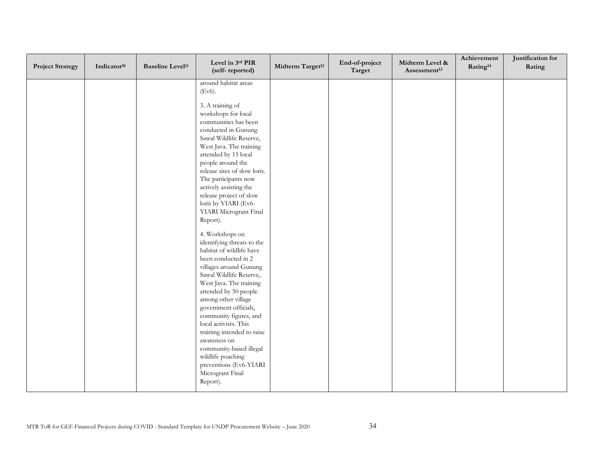| <b>Project Strategy</b> | Indicator <sup>10</sup> | <b>Baseline Level<sup>11</sup></b> | Level in 3rd PIR<br>(self-reported)                                                                                                                                                                                                                                                                                                                                                                                                                                                                                                                                                                                                                                                                                                                                  | Midterm Target <sup>12</sup> | End-of-project<br>Target | Midterm Level &<br>Assessment <sup>13</sup> | Achievement<br>Rating <sup>14</sup> | Justification for<br>Rating |
|-------------------------|-------------------------|------------------------------------|----------------------------------------------------------------------------------------------------------------------------------------------------------------------------------------------------------------------------------------------------------------------------------------------------------------------------------------------------------------------------------------------------------------------------------------------------------------------------------------------------------------------------------------------------------------------------------------------------------------------------------------------------------------------------------------------------------------------------------------------------------------------|------------------------------|--------------------------|---------------------------------------------|-------------------------------------|-----------------------------|
|                         |                         |                                    | around habitat areas<br>(Ev6).<br>3. A training of<br>workshops for local<br>communities has been<br>conducted in Gunung<br>Sawal Wildlife Reserve,<br>West Java. The training<br>attended by 15 local<br>people around the<br>release sites of slow loris.<br>The participants now<br>actively assisting the<br>release project of slow<br>loris by YIARI (Ev6-<br>YIARI Microgrant Final<br>Report).<br>4. Workshops on<br>identifying threats to the<br>habitat of wildlife have<br>been conducted in 2<br>villages around Gunung<br>Sawal Wildlife Reserve,<br>West Java. The training<br>attended by 50 people<br>among other village<br>government officials,<br>community figures, and<br>local activists. This<br>training intended to raise<br>awareness on |                              |                          |                                             |                                     |                             |
|                         |                         |                                    | community-based illegal<br>wildlife poaching<br>preventions (Ev6-YIARI<br>Microgrant Final<br>Report).                                                                                                                                                                                                                                                                                                                                                                                                                                                                                                                                                                                                                                                               |                              |                          |                                             |                                     |                             |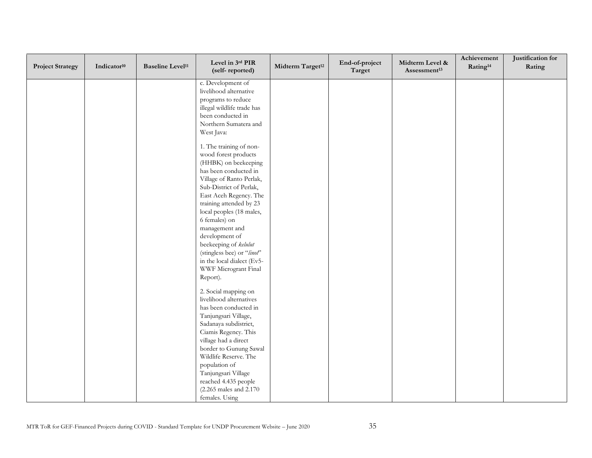| <b>Project Strategy</b> | Indicator <sup>10</sup> | <b>Baseline Level<sup>11</sup></b> | Level in 3rd PIR<br>(self-reported)            | Midterm Target <sup>12</sup> | End-of-project<br>Target | Midterm Level &<br>Assessment <sup>13</sup> | Achievement<br>Rating <sup>14</sup> | Justification for<br>Rating |
|-------------------------|-------------------------|------------------------------------|------------------------------------------------|------------------------------|--------------------------|---------------------------------------------|-------------------------------------|-----------------------------|
|                         |                         |                                    | c. Development of                              |                              |                          |                                             |                                     |                             |
|                         |                         |                                    | livelihood alternative                         |                              |                          |                                             |                                     |                             |
|                         |                         |                                    | programs to reduce                             |                              |                          |                                             |                                     |                             |
|                         |                         |                                    | illegal wildlife trade has                     |                              |                          |                                             |                                     |                             |
|                         |                         |                                    | been conducted in                              |                              |                          |                                             |                                     |                             |
|                         |                         |                                    | Northern Sumatera and                          |                              |                          |                                             |                                     |                             |
|                         |                         |                                    | West Java:                                     |                              |                          |                                             |                                     |                             |
|                         |                         |                                    | 1. The training of non-                        |                              |                          |                                             |                                     |                             |
|                         |                         |                                    | wood forest products                           |                              |                          |                                             |                                     |                             |
|                         |                         |                                    | (HHBK) on beekeeping<br>has been conducted in  |                              |                          |                                             |                                     |                             |
|                         |                         |                                    | Village of Ranto Perlak,                       |                              |                          |                                             |                                     |                             |
|                         |                         |                                    | Sub-District of Perlak,                        |                              |                          |                                             |                                     |                             |
|                         |                         |                                    | East Aceh Regency. The                         |                              |                          |                                             |                                     |                             |
|                         |                         |                                    | training attended by 23                        |                              |                          |                                             |                                     |                             |
|                         |                         |                                    | local peoples (18 males,                       |                              |                          |                                             |                                     |                             |
|                         |                         |                                    | 6 females) on                                  |                              |                          |                                             |                                     |                             |
|                         |                         |                                    | management and                                 |                              |                          |                                             |                                     |                             |
|                         |                         |                                    | development of                                 |                              |                          |                                             |                                     |                             |
|                         |                         |                                    | beekeeping of kelulut                          |                              |                          |                                             |                                     |                             |
|                         |                         |                                    | (stingless bee) or "linot"                     |                              |                          |                                             |                                     |                             |
|                         |                         |                                    | in the local dialect (Ev5-                     |                              |                          |                                             |                                     |                             |
|                         |                         |                                    | WWF Microgrant Final                           |                              |                          |                                             |                                     |                             |
|                         |                         |                                    | Report).                                       |                              |                          |                                             |                                     |                             |
|                         |                         |                                    | 2. Social mapping on                           |                              |                          |                                             |                                     |                             |
|                         |                         |                                    | livelihood alternatives                        |                              |                          |                                             |                                     |                             |
|                         |                         |                                    | has been conducted in                          |                              |                          |                                             |                                     |                             |
|                         |                         |                                    | Tanjungsari Village,                           |                              |                          |                                             |                                     |                             |
|                         |                         |                                    | Sadanaya subdistrict,                          |                              |                          |                                             |                                     |                             |
|                         |                         |                                    | Ciamis Regency. This                           |                              |                          |                                             |                                     |                             |
|                         |                         |                                    | village had a direct<br>border to Gunung Sawal |                              |                          |                                             |                                     |                             |
|                         |                         |                                    | Wildlife Reserve. The                          |                              |                          |                                             |                                     |                             |
|                         |                         |                                    | population of                                  |                              |                          |                                             |                                     |                             |
|                         |                         |                                    | Tanjungsari Village                            |                              |                          |                                             |                                     |                             |
|                         |                         |                                    | reached 4.435 people                           |                              |                          |                                             |                                     |                             |
|                         |                         |                                    | (2.265 males and 2.170)                        |                              |                          |                                             |                                     |                             |
|                         |                         |                                    | females. Using                                 |                              |                          |                                             |                                     |                             |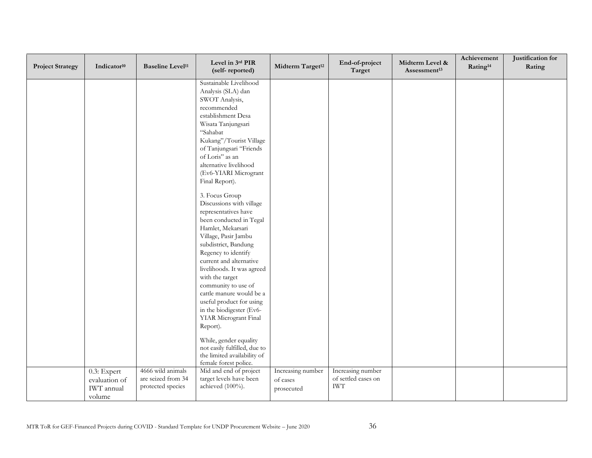| <b>Project Strategy</b> | Indicator <sup>10</sup> | <b>Baseline Level<sup>11</sup></b>      | Level in 3rd PIR<br>(self-reported)               | Midterm Target <sup>12</sup> | End-of-project<br>Target                 | Midterm Level &<br>Assessment <sup>13</sup> | Achievement<br>Rating <sup>14</sup> | Justification for<br>Rating |
|-------------------------|-------------------------|-----------------------------------------|---------------------------------------------------|------------------------------|------------------------------------------|---------------------------------------------|-------------------------------------|-----------------------------|
|                         |                         |                                         | Sustainable Livelihood                            |                              |                                          |                                             |                                     |                             |
|                         |                         |                                         | Analysis (SLA) dan                                |                              |                                          |                                             |                                     |                             |
|                         |                         |                                         | SWOT Analysis,                                    |                              |                                          |                                             |                                     |                             |
|                         |                         |                                         | recommended                                       |                              |                                          |                                             |                                     |                             |
|                         |                         |                                         | establishment Desa<br>Wisata Tanjungsari          |                              |                                          |                                             |                                     |                             |
|                         |                         |                                         | "Sahabat                                          |                              |                                          |                                             |                                     |                             |
|                         |                         |                                         | Kukang"/Tourist Village                           |                              |                                          |                                             |                                     |                             |
|                         |                         |                                         | of Tanjungsari "Friends                           |                              |                                          |                                             |                                     |                             |
|                         |                         |                                         | of Loris" as an                                   |                              |                                          |                                             |                                     |                             |
|                         |                         |                                         | alternative livelihood                            |                              |                                          |                                             |                                     |                             |
|                         |                         |                                         | (Ev6-YIARI Microgrant                             |                              |                                          |                                             |                                     |                             |
|                         |                         |                                         | Final Report).                                    |                              |                                          |                                             |                                     |                             |
|                         |                         |                                         |                                                   |                              |                                          |                                             |                                     |                             |
|                         |                         |                                         | 3. Focus Group<br>Discussions with village        |                              |                                          |                                             |                                     |                             |
|                         |                         |                                         | representatives have                              |                              |                                          |                                             |                                     |                             |
|                         |                         |                                         | been conducted in Tegal                           |                              |                                          |                                             |                                     |                             |
|                         |                         |                                         | Hamlet, Mekarsari                                 |                              |                                          |                                             |                                     |                             |
|                         |                         |                                         | Village, Pasir Jambu                              |                              |                                          |                                             |                                     |                             |
|                         |                         |                                         | subdistrict, Bandung                              |                              |                                          |                                             |                                     |                             |
|                         |                         |                                         | Regency to identify                               |                              |                                          |                                             |                                     |                             |
|                         |                         |                                         | current and alternative                           |                              |                                          |                                             |                                     |                             |
|                         |                         |                                         | livelihoods. It was agreed                        |                              |                                          |                                             |                                     |                             |
|                         |                         |                                         | with the target                                   |                              |                                          |                                             |                                     |                             |
|                         |                         |                                         | community to use of                               |                              |                                          |                                             |                                     |                             |
|                         |                         |                                         | cattle manure would be a                          |                              |                                          |                                             |                                     |                             |
|                         |                         |                                         | useful product for using                          |                              |                                          |                                             |                                     |                             |
|                         |                         |                                         | in the biodigester (Ev6-                          |                              |                                          |                                             |                                     |                             |
|                         |                         |                                         | YIAR Microgrant Final                             |                              |                                          |                                             |                                     |                             |
|                         |                         |                                         | Report).                                          |                              |                                          |                                             |                                     |                             |
|                         |                         |                                         | While, gender equality                            |                              |                                          |                                             |                                     |                             |
|                         |                         |                                         | not easily fulfilled, due to                      |                              |                                          |                                             |                                     |                             |
|                         |                         |                                         | the limited availability of                       |                              |                                          |                                             |                                     |                             |
|                         |                         |                                         | female forest police.                             |                              |                                          |                                             |                                     |                             |
|                         | 0.3: Expert             | 4666 wild animals<br>are seized from 34 | Mid and end of project<br>target levels have been | Increasing number            | Increasing number<br>of settled cases on |                                             |                                     |                             |
|                         | evaluation of           | protected species                       | achieved (100%).                                  | of cases                     | <b>IWT</b>                               |                                             |                                     |                             |
|                         | IWT annual              |                                         |                                                   | prosecuted                   |                                          |                                             |                                     |                             |
|                         | volume                  |                                         |                                                   |                              |                                          |                                             |                                     |                             |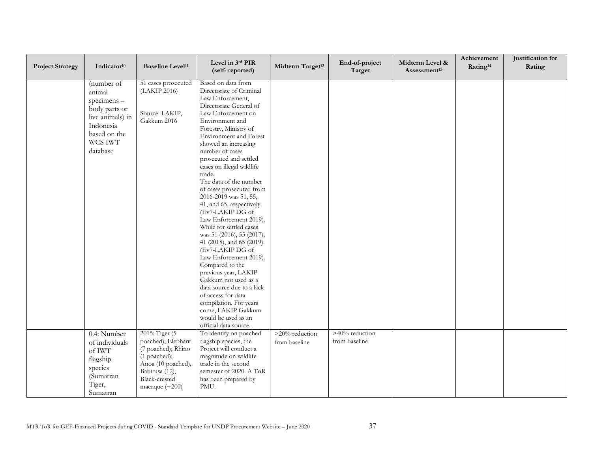| <b>Project Strategy</b> | Indicator <sup>10</sup>                                                                                                     | <b>Baseline Level<sup>11</sup></b>                                                                                                                          | Level in 3rd PIR<br>(self-reported)                                                                                                                                                                                                                                                                                                                                                                                                                                                                                                                                                                                                                                                                                                                                   | Midterm Target <sup>12</sup>    | End-of-project<br>Target        | Midterm Level &<br>Assessment <sup>13</sup> | Achievement<br>Rating <sup>14</sup> | Justification for<br>Rating |
|-------------------------|-----------------------------------------------------------------------------------------------------------------------------|-------------------------------------------------------------------------------------------------------------------------------------------------------------|-----------------------------------------------------------------------------------------------------------------------------------------------------------------------------------------------------------------------------------------------------------------------------------------------------------------------------------------------------------------------------------------------------------------------------------------------------------------------------------------------------------------------------------------------------------------------------------------------------------------------------------------------------------------------------------------------------------------------------------------------------------------------|---------------------------------|---------------------------------|---------------------------------------------|-------------------------------------|-----------------------------|
|                         | (number of<br>animal<br>specimens-<br>body parts or<br>live animals) in<br>Indonesia<br>based on the<br>WCS IWT<br>database | 51 cases prosecuted<br>(LAKIP 2016)<br>Source: LAKIP,<br>Gakkum 2016                                                                                        | Based on data from<br>Directorate of Criminal<br>Law Enforcement,<br>Directorate General of<br>Law Enforcement on<br>Environment and<br>Forestry, Ministry of<br>Environment and Forest<br>showed an increasing<br>number of cases<br>prosecuted and settled<br>cases on illegal wildlife<br>trade.<br>The data of the number<br>of cases prosecuted from<br>2016-2019 was 51, 55,<br>41, and 65, respectively<br>(Ev7-LAKIP DG of<br>Law Enforcement 2019).<br>While for settled cases<br>was 51 (2016), 55 (2017),<br>41 (2018), and 65 (2019).<br>(Ev7-LAKIP DG of<br>Law Enforcement 2019).<br>Compared to the<br>previous year, LAKIP<br>Gakkum not used as a<br>data source due to a lack<br>of access for data<br>compilation. For years<br>come, LAKIP Gakkum |                                 |                                 |                                             |                                     |                             |
|                         |                                                                                                                             |                                                                                                                                                             | would be used as an<br>official data source.                                                                                                                                                                                                                                                                                                                                                                                                                                                                                                                                                                                                                                                                                                                          |                                 |                                 |                                             |                                     |                             |
|                         | 0.4: Number<br>of individuals<br>of IWT<br>flagship<br>species<br>(Sumatran<br>Tiger,<br>Sumatran                           | 2015: Tiger (5<br>poached); Elephant<br>(7 poached); Rhino<br>(1 poached);<br>Anoa (10 poached),<br>Babirusa (12),<br>Black-crested<br>macaque $(\sim 200)$ | To identify on poached<br>flagship species, the<br>Project will conduct a<br>magnitude on wildlife<br>trade in the second<br>semester of 2020. A ToR<br>has been prepared by<br>PMU.                                                                                                                                                                                                                                                                                                                                                                                                                                                                                                                                                                                  | >20% reduction<br>from baseline | >40% reduction<br>from baseline |                                             |                                     |                             |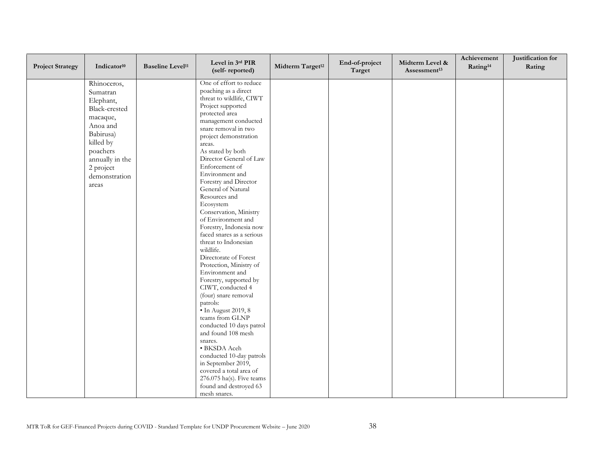| <b>Project Strategy</b> | Indicator <sup>10</sup> | <b>Baseline Level<sup>11</sup></b> | Level in 3rd PIR<br>(self-reported)             | Midterm Target <sup>12</sup> | End-of-project<br>Target | Midterm Level &<br>Assessment <sup>13</sup> | Achievement<br>Rating <sup>14</sup> | Justification for<br>Rating |
|-------------------------|-------------------------|------------------------------------|-------------------------------------------------|------------------------------|--------------------------|---------------------------------------------|-------------------------------------|-----------------------------|
|                         | Rhinoceros,<br>Sumatran |                                    | One of effort to reduce<br>poaching as a direct |                              |                          |                                             |                                     |                             |
|                         | Elephant,               |                                    | threat to wildlife, CIWT                        |                              |                          |                                             |                                     |                             |
|                         | Black-crested           |                                    | Project supported                               |                              |                          |                                             |                                     |                             |
|                         |                         |                                    | protected area                                  |                              |                          |                                             |                                     |                             |
|                         | macaque,                |                                    | management conducted                            |                              |                          |                                             |                                     |                             |
|                         | Anoa and                |                                    | snare removal in two                            |                              |                          |                                             |                                     |                             |
|                         | Babirusa)               |                                    | project demonstration                           |                              |                          |                                             |                                     |                             |
|                         | killed by               |                                    | areas.                                          |                              |                          |                                             |                                     |                             |
|                         | poachers                |                                    | As stated by both                               |                              |                          |                                             |                                     |                             |
|                         | annually in the         |                                    | Director General of Law                         |                              |                          |                                             |                                     |                             |
|                         | 2 project               |                                    | Enforcement of<br>Environment and               |                              |                          |                                             |                                     |                             |
|                         | demonstration           |                                    | Forestry and Director                           |                              |                          |                                             |                                     |                             |
|                         | areas                   |                                    | General of Natural                              |                              |                          |                                             |                                     |                             |
|                         |                         |                                    | Resources and                                   |                              |                          |                                             |                                     |                             |
|                         |                         |                                    | Ecosystem                                       |                              |                          |                                             |                                     |                             |
|                         |                         |                                    | Conservation, Ministry                          |                              |                          |                                             |                                     |                             |
|                         |                         |                                    | of Environment and                              |                              |                          |                                             |                                     |                             |
|                         |                         |                                    | Forestry, Indonesia now                         |                              |                          |                                             |                                     |                             |
|                         |                         |                                    | faced snares as a serious                       |                              |                          |                                             |                                     |                             |
|                         |                         |                                    | threat to Indonesian                            |                              |                          |                                             |                                     |                             |
|                         |                         |                                    | wildlife.                                       |                              |                          |                                             |                                     |                             |
|                         |                         |                                    | Directorate of Forest                           |                              |                          |                                             |                                     |                             |
|                         |                         |                                    | Protection, Ministry of                         |                              |                          |                                             |                                     |                             |
|                         |                         |                                    | Environment and                                 |                              |                          |                                             |                                     |                             |
|                         |                         |                                    | Forestry, supported by                          |                              |                          |                                             |                                     |                             |
|                         |                         |                                    | CIWT, conducted 4                               |                              |                          |                                             |                                     |                             |
|                         |                         |                                    | (four) snare removal<br>patrols:                |                              |                          |                                             |                                     |                             |
|                         |                         |                                    | $\bullet$ In August 2019, 8                     |                              |                          |                                             |                                     |                             |
|                         |                         |                                    | teams from GLNP                                 |                              |                          |                                             |                                     |                             |
|                         |                         |                                    | conducted 10 days patrol                        |                              |                          |                                             |                                     |                             |
|                         |                         |                                    | and found 108 mesh                              |                              |                          |                                             |                                     |                             |
|                         |                         |                                    | snares.                                         |                              |                          |                                             |                                     |                             |
|                         |                         |                                    | • BKSDA Aceh                                    |                              |                          |                                             |                                     |                             |
|                         |                         |                                    | conducted 10-day patrols                        |                              |                          |                                             |                                     |                             |
|                         |                         |                                    | in September 2019,                              |                              |                          |                                             |                                     |                             |
|                         |                         |                                    | covered a total area of                         |                              |                          |                                             |                                     |                             |
|                         |                         |                                    | 276.075 ha(s). Five teams                       |                              |                          |                                             |                                     |                             |
|                         |                         |                                    | found and destroyed 63                          |                              |                          |                                             |                                     |                             |
|                         |                         |                                    | mesh snares.                                    |                              |                          |                                             |                                     |                             |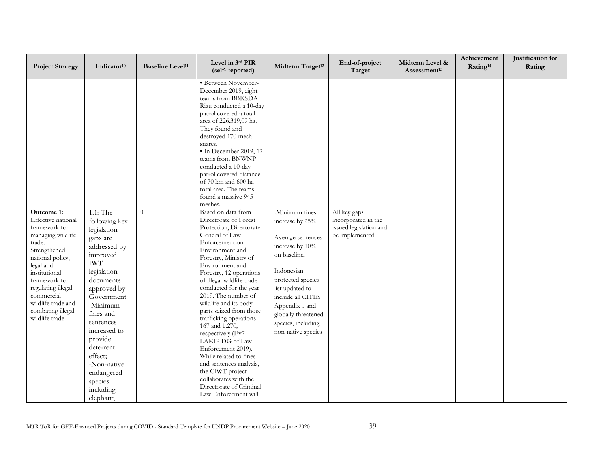| <b>Project Strategy</b>                                                                                                                                                                                                                                              | Indicator <sup>10</sup>                                                                                                                                                                                                                                                                                             | <b>Baseline Level<sup>11</sup></b> | Level in 3rd PIR<br>(self-reported)                                                                                                                                                                                                                                                                                                                                                                                                                                                                                                                                                                    | Midterm Target <sup>12</sup>                                                                                                                                                                                                                              | End-of-project<br>Target                                                        | Midterm Level &<br>Assessment <sup>13</sup> | Achievement<br>Rating <sup>14</sup> | Justification for<br>Rating |
|----------------------------------------------------------------------------------------------------------------------------------------------------------------------------------------------------------------------------------------------------------------------|---------------------------------------------------------------------------------------------------------------------------------------------------------------------------------------------------------------------------------------------------------------------------------------------------------------------|------------------------------------|--------------------------------------------------------------------------------------------------------------------------------------------------------------------------------------------------------------------------------------------------------------------------------------------------------------------------------------------------------------------------------------------------------------------------------------------------------------------------------------------------------------------------------------------------------------------------------------------------------|-----------------------------------------------------------------------------------------------------------------------------------------------------------------------------------------------------------------------------------------------------------|---------------------------------------------------------------------------------|---------------------------------------------|-------------------------------------|-----------------------------|
|                                                                                                                                                                                                                                                                      |                                                                                                                                                                                                                                                                                                                     |                                    | · Between November-<br>December 2019, eight<br>teams from BBKSDA<br>Riau conducted a 10-day<br>patrol covered a total<br>area of 226,319,09 ha.<br>They found and<br>destroyed 170 mesh<br>snares.<br>· In December 2019, 12<br>teams from BNWNP<br>conducted a 10-day<br>patrol covered distance<br>of 70 km and 600 ha<br>total area. The teams<br>found a massive 945<br>meshes.                                                                                                                                                                                                                    |                                                                                                                                                                                                                                                           |                                                                                 |                                             |                                     |                             |
| Outcome 1:<br>Effective national<br>framework for<br>managing wildlife<br>trade.<br>Strengthened<br>national policy,<br>legal and<br>institutional<br>framework for<br>regulating illegal<br>commercial<br>wildlife trade and<br>combating illegal<br>wildlife trade | 1.1: The<br>following key<br>legislation<br>gaps are<br>addressed by<br>improved<br><b>IWT</b><br>legislation<br>documents<br>approved by<br>Government:<br>-Minimum<br>fines and<br>sentences<br>increased to<br>provide<br>deterrent<br>effect;<br>-Non-native<br>endangered<br>species<br>including<br>elephant, | $\theta$                           | Based on data from<br>Directorate of Forest<br>Protection, Directorate<br>General of Law<br>Enforcement on<br>Environment and<br>Forestry, Ministry of<br>Environment and<br>Forestry, 12 operations<br>of illegal wildlife trade<br>conducted for the year<br>2019. The number of<br>wildlife and its body<br>parts seized from those<br>trafficking operations<br>167 and 1.270,<br>respectively (Ev7-<br>LAKIP DG of Law<br>Enforcement 2019).<br>While related to fines<br>and sentences analysis,<br>the CIWT project<br>collaborates with the<br>Directorate of Criminal<br>Law Enforcement will | -Minimum fines<br>increase by 25%<br>Average sentences<br>increase by 10%<br>on baseline.<br>Indonesian<br>protected species<br>list updated to<br>include all CITES<br>Appendix 1 and<br>globally threatened<br>species, including<br>non-native species | All key gaps<br>incorporated in the<br>issued legislation and<br>be implemented |                                             |                                     |                             |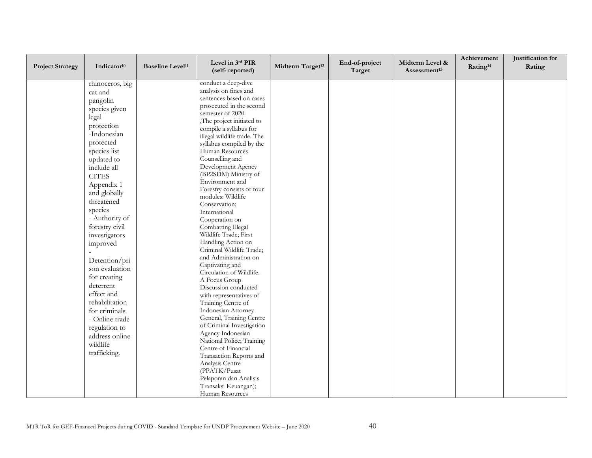| <b>Project Strategy</b> | Indicator <sup>10</sup>                                                                                                                                                                 | <b>Baseline Level<sup>11</sup></b> | Level in 3rd PIR<br>(self-reported)                                                                                                                                                                                                                                                                                                                               | Midterm Target <sup>12</sup> | End-of-project<br>Target | Midterm Level &<br>Assessment <sup>13</sup> | Achievement<br>Rating <sup>14</sup> | Justification for<br>Rating |
|-------------------------|-----------------------------------------------------------------------------------------------------------------------------------------------------------------------------------------|------------------------------------|-------------------------------------------------------------------------------------------------------------------------------------------------------------------------------------------------------------------------------------------------------------------------------------------------------------------------------------------------------------------|------------------------------|--------------------------|---------------------------------------------|-------------------------------------|-----------------------------|
|                         | rhinoceros, big<br>cat and<br>pangolin<br>species given<br>legal<br>protection<br>-Indonesian<br>protected<br>species list<br>updated to<br>include all                                 |                                    | conduct a deep-dive<br>analysis on fines and<br>sentences based on cases<br>prosecuted in the second<br>semester of 2020.<br>The project initiated to<br>compile a syllabus for<br>illegal wildlife trade. The<br>syllabus compiled by the<br>Human Resources<br>Counselling and<br>Development Agency                                                            |                              |                          |                                             |                                     |                             |
|                         | <b>CITES</b><br>Appendix 1<br>and globally<br>threatened<br>species<br>- Authority of<br>forestry civil<br>investigators<br>improved<br>Detention/pri<br>son evaluation<br>for creating |                                    | (BP2SDM) Ministry of<br>Environment and<br>Forestry consists of four<br>modules: Wildlife<br>Conservation;<br>International<br>Cooperation on<br>Combatting Illegal<br>Wildlife Trade; First<br>Handling Action on<br>Criminal Wildlife Trade;<br>and Administration on<br>Captivating and<br>Circulation of Wildlife.<br>A Focus Group                           |                              |                          |                                             |                                     |                             |
|                         | deterrent<br>effect and<br>rehabilitation<br>for criminals.<br>- Online trade<br>regulation to<br>address online<br>wildlife<br>trafficking.                                            |                                    | Discussion conducted<br>with representatives of<br>Training Centre of<br>Indonesian Attorney<br>General, Training Centre<br>of Criminal Investigation<br>Agency Indonesian<br>National Police; Training<br>Centre of Financial<br>Transaction Reports and<br>Analysis Centre<br>(PPATK/Pusat<br>Pelaporan dan Analisis<br>Transaksi Keuangan);<br>Human Resources |                              |                          |                                             |                                     |                             |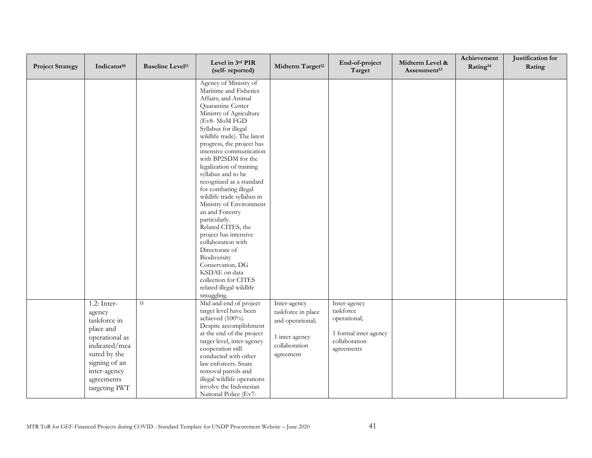| <b>Project Strategy</b> | Indicator <sup>10</sup>                                                                                                                                                 | <b>Baseline Level<sup>11</sup></b> | Level in 3rd PIR<br>(self-reported)                                                                                                                                                                                                                                                                                                                                                                                                                                                                                                                                                                                                                                                             | Midterm Target <sup>12</sup>                                                                           | End-of-project<br>Target                                                                          | Midterm Level &<br>Assessment <sup>13</sup> | Achievement<br>Rating <sup>14</sup> | Justification for<br>Rating |
|-------------------------|-------------------------------------------------------------------------------------------------------------------------------------------------------------------------|------------------------------------|-------------------------------------------------------------------------------------------------------------------------------------------------------------------------------------------------------------------------------------------------------------------------------------------------------------------------------------------------------------------------------------------------------------------------------------------------------------------------------------------------------------------------------------------------------------------------------------------------------------------------------------------------------------------------------------------------|--------------------------------------------------------------------------------------------------------|---------------------------------------------------------------------------------------------------|---------------------------------------------|-------------------------------------|-----------------------------|
|                         |                                                                                                                                                                         |                                    | Agency of Ministry of<br>Maritime and Fisheries<br>Affairs; and Animal<br>Quarantine Center<br>Ministry of Agriculture<br>(Ev8- MoM FGD<br>Syllabus for illegal<br>wildlife trade). The latest<br>progress, the project has<br>intensive communication<br>with BP2SDM for the<br>legalization of training<br>syllabus and to be<br>recognized as a standard<br>for combating illegal<br>wildlife trade syllabus in<br>Ministry of Environment<br>an and Forestry<br>particularly.<br>Related CITES, the<br>project has intensive<br>collaboration with<br>Directorate of<br>Biodiversity<br>Conservation, DG<br>KSDAE on data<br>collection for CITES<br>related illegal wildlife<br>smuggling. |                                                                                                        |                                                                                                   |                                             |                                     |                             |
|                         | $1.2:$ Inter-<br>agency<br>taskforce in<br>place and<br>operational as<br>indicated/mea<br>sured by the<br>signing of an<br>inter-agency<br>agreements<br>targeting IWT | $\overline{0}$                     | Mid and end of project<br>target level have been<br>achieved (100%).<br>Despite accomplishment<br>at the end of the project<br>target level, inter-agency<br>cooperation still<br>conducted with other<br>law enforcers. Snare<br>removal patrols and<br>illegal wildlife operations<br>involve the Indonesian<br>National Police (Ev7-                                                                                                                                                                                                                                                                                                                                                         | Inter-agency<br>taskforce in place<br>and operational;<br>1 inter agency<br>collaboration<br>agreement | Inter-agency<br>taskforce<br>operational;<br>1 formal inter agency<br>collaboration<br>agreements |                                             |                                     |                             |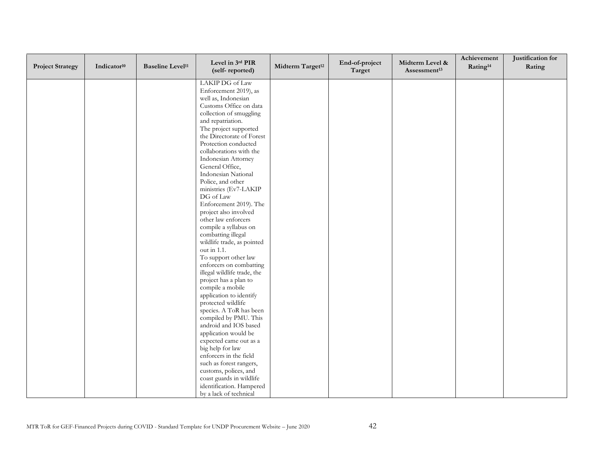| <b>Project Strategy</b> | Indicator <sup>10</sup> | <b>Baseline Level<sup>11</sup></b> | Level in 3rd PIR<br>(self-reported)               | Midterm Target <sup>12</sup> | End-of-project<br>Target | Midterm Level &<br>Assessment <sup>13</sup> | Achievement<br>Rating <sup>14</sup> | Justification for<br>Rating |
|-------------------------|-------------------------|------------------------------------|---------------------------------------------------|------------------------------|--------------------------|---------------------------------------------|-------------------------------------|-----------------------------|
|                         |                         |                                    | LAKIP DG of Law                                   |                              |                          |                                             |                                     |                             |
|                         |                         |                                    | Enforcement 2019), as                             |                              |                          |                                             |                                     |                             |
|                         |                         |                                    | well as, Indonesian                               |                              |                          |                                             |                                     |                             |
|                         |                         |                                    | Customs Office on data                            |                              |                          |                                             |                                     |                             |
|                         |                         |                                    | collection of smuggling                           |                              |                          |                                             |                                     |                             |
|                         |                         |                                    | and repatriation.                                 |                              |                          |                                             |                                     |                             |
|                         |                         |                                    | The project supported                             |                              |                          |                                             |                                     |                             |
|                         |                         |                                    | the Directorate of Forest                         |                              |                          |                                             |                                     |                             |
|                         |                         |                                    | Protection conducted                              |                              |                          |                                             |                                     |                             |
|                         |                         |                                    | collaborations with the                           |                              |                          |                                             |                                     |                             |
|                         |                         |                                    | Indonesian Attorney                               |                              |                          |                                             |                                     |                             |
|                         |                         |                                    | General Office,<br>Indonesian National            |                              |                          |                                             |                                     |                             |
|                         |                         |                                    | Police, and other                                 |                              |                          |                                             |                                     |                             |
|                         |                         |                                    | ministries (Ev7-LAKIP                             |                              |                          |                                             |                                     |                             |
|                         |                         |                                    | DG of Law                                         |                              |                          |                                             |                                     |                             |
|                         |                         |                                    | Enforcement 2019). The                            |                              |                          |                                             |                                     |                             |
|                         |                         |                                    | project also involved                             |                              |                          |                                             |                                     |                             |
|                         |                         |                                    | other law enforcers                               |                              |                          |                                             |                                     |                             |
|                         |                         |                                    | compile a syllabus on                             |                              |                          |                                             |                                     |                             |
|                         |                         |                                    | combatting illegal                                |                              |                          |                                             |                                     |                             |
|                         |                         |                                    | wildlife trade, as pointed                        |                              |                          |                                             |                                     |                             |
|                         |                         |                                    | out in 1.1.                                       |                              |                          |                                             |                                     |                             |
|                         |                         |                                    | To support other law                              |                              |                          |                                             |                                     |                             |
|                         |                         |                                    | enforcers on combatting                           |                              |                          |                                             |                                     |                             |
|                         |                         |                                    | illegal wildlife trade, the                       |                              |                          |                                             |                                     |                             |
|                         |                         |                                    | project has a plan to                             |                              |                          |                                             |                                     |                             |
|                         |                         |                                    | compile a mobile                                  |                              |                          |                                             |                                     |                             |
|                         |                         |                                    | application to identify                           |                              |                          |                                             |                                     |                             |
|                         |                         |                                    | protected wildlife                                |                              |                          |                                             |                                     |                             |
|                         |                         |                                    | species. A ToR has been                           |                              |                          |                                             |                                     |                             |
|                         |                         |                                    | compiled by PMU. This                             |                              |                          |                                             |                                     |                             |
|                         |                         |                                    | android and IOS based                             |                              |                          |                                             |                                     |                             |
|                         |                         |                                    | application would be                              |                              |                          |                                             |                                     |                             |
|                         |                         |                                    | expected came out as a                            |                              |                          |                                             |                                     |                             |
|                         |                         |                                    | big help for law                                  |                              |                          |                                             |                                     |                             |
|                         |                         |                                    | enforcers in the field<br>such as forest rangers, |                              |                          |                                             |                                     |                             |
|                         |                         |                                    | customs, polices, and                             |                              |                          |                                             |                                     |                             |
|                         |                         |                                    | coast guards in wildlife                          |                              |                          |                                             |                                     |                             |
|                         |                         |                                    | identification. Hampered                          |                              |                          |                                             |                                     |                             |
|                         |                         |                                    | by a lack of technical                            |                              |                          |                                             |                                     |                             |
|                         |                         |                                    |                                                   |                              |                          |                                             |                                     |                             |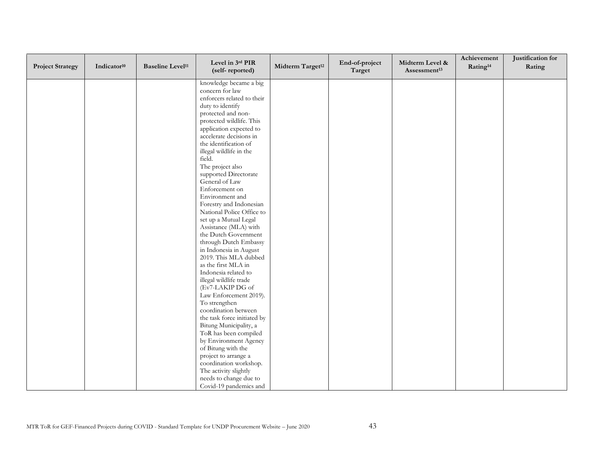| <b>Project Strategy</b> | Indicator <sup>10</sup> | <b>Baseline Level<sup>11</sup></b> | Level in 3rd PIR<br>(self-reported)                | Midterm Target <sup>12</sup> | End-of-project<br>Target | Midterm Level &<br>Assessment <sup>13</sup> | Achievement<br>Rating <sup>14</sup> | Justification for<br>Rating |
|-------------------------|-------------------------|------------------------------------|----------------------------------------------------|------------------------------|--------------------------|---------------------------------------------|-------------------------------------|-----------------------------|
|                         |                         |                                    | knowledge became a big                             |                              |                          |                                             |                                     |                             |
|                         |                         |                                    | concern for law                                    |                              |                          |                                             |                                     |                             |
|                         |                         |                                    | enforcers related to their                         |                              |                          |                                             |                                     |                             |
|                         |                         |                                    | duty to identify                                   |                              |                          |                                             |                                     |                             |
|                         |                         |                                    | protected and non-                                 |                              |                          |                                             |                                     |                             |
|                         |                         |                                    | protected wildlife. This                           |                              |                          |                                             |                                     |                             |
|                         |                         |                                    | application expected to<br>accelerate decisions in |                              |                          |                                             |                                     |                             |
|                         |                         |                                    | the identification of                              |                              |                          |                                             |                                     |                             |
|                         |                         |                                    | illegal wildlife in the                            |                              |                          |                                             |                                     |                             |
|                         |                         |                                    | field.                                             |                              |                          |                                             |                                     |                             |
|                         |                         |                                    | The project also                                   |                              |                          |                                             |                                     |                             |
|                         |                         |                                    | supported Directorate                              |                              |                          |                                             |                                     |                             |
|                         |                         |                                    | General of Law                                     |                              |                          |                                             |                                     |                             |
|                         |                         |                                    | Enforcement on                                     |                              |                          |                                             |                                     |                             |
|                         |                         |                                    | Environment and                                    |                              |                          |                                             |                                     |                             |
|                         |                         |                                    | Forestry and Indonesian                            |                              |                          |                                             |                                     |                             |
|                         |                         |                                    | National Police Office to                          |                              |                          |                                             |                                     |                             |
|                         |                         |                                    | set up a Mutual Legal                              |                              |                          |                                             |                                     |                             |
|                         |                         |                                    | Assistance (MLA) with                              |                              |                          |                                             |                                     |                             |
|                         |                         |                                    | the Dutch Government                               |                              |                          |                                             |                                     |                             |
|                         |                         |                                    | through Dutch Embassy                              |                              |                          |                                             |                                     |                             |
|                         |                         |                                    | in Indonesia in August<br>2019. This MLA dubbed    |                              |                          |                                             |                                     |                             |
|                         |                         |                                    | as the first MLA in                                |                              |                          |                                             |                                     |                             |
|                         |                         |                                    | Indonesia related to                               |                              |                          |                                             |                                     |                             |
|                         |                         |                                    | illegal wildlife trade                             |                              |                          |                                             |                                     |                             |
|                         |                         |                                    | (Ev7-LAKIP DG of                                   |                              |                          |                                             |                                     |                             |
|                         |                         |                                    | Law Enforcement 2019).                             |                              |                          |                                             |                                     |                             |
|                         |                         |                                    | To strengthen                                      |                              |                          |                                             |                                     |                             |
|                         |                         |                                    | coordination between                               |                              |                          |                                             |                                     |                             |
|                         |                         |                                    | the task force initiated by                        |                              |                          |                                             |                                     |                             |
|                         |                         |                                    | Bitung Municipality, a                             |                              |                          |                                             |                                     |                             |
|                         |                         |                                    | ToR has been compiled                              |                              |                          |                                             |                                     |                             |
|                         |                         |                                    | by Environment Agency                              |                              |                          |                                             |                                     |                             |
|                         |                         |                                    | of Bitung with the                                 |                              |                          |                                             |                                     |                             |
|                         |                         |                                    | project to arrange a                               |                              |                          |                                             |                                     |                             |
|                         |                         |                                    | coordination workshop.                             |                              |                          |                                             |                                     |                             |
|                         |                         |                                    | The activity slightly                              |                              |                          |                                             |                                     |                             |
|                         |                         |                                    | needs to change due to                             |                              |                          |                                             |                                     |                             |
|                         |                         |                                    | Covid-19 pandemics and                             |                              |                          |                                             |                                     |                             |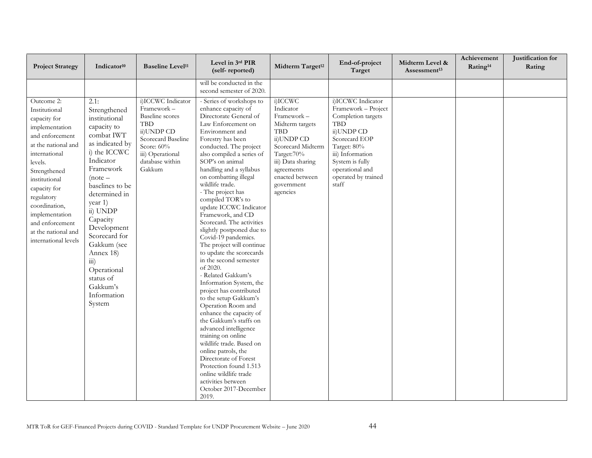| <b>Project Strategy</b>                                                                                                                                                                                                                                                                                 | Indicator <sup>10</sup>                                                                                                                                                                                                                                                                                                                                                | <b>Baseline Level<sup>11</sup></b>                                                                                                                                          | Level in 3rd PIR<br>(self-reported)                                                                                                                                                                                                                                                                                                                                                                                                                                                                                                                                                                                                                                                                                                                                                                                                                                                                                                                                                     | Midterm Target <sup>12</sup>                                                                                                                                                                          | End-of-project<br>Target                                                                                                                                                                                      | Midterm Level &<br>Assessment <sup>13</sup> | Achievement<br>Rating <sup>14</sup> | Justification for<br>Rating |
|---------------------------------------------------------------------------------------------------------------------------------------------------------------------------------------------------------------------------------------------------------------------------------------------------------|------------------------------------------------------------------------------------------------------------------------------------------------------------------------------------------------------------------------------------------------------------------------------------------------------------------------------------------------------------------------|-----------------------------------------------------------------------------------------------------------------------------------------------------------------------------|-----------------------------------------------------------------------------------------------------------------------------------------------------------------------------------------------------------------------------------------------------------------------------------------------------------------------------------------------------------------------------------------------------------------------------------------------------------------------------------------------------------------------------------------------------------------------------------------------------------------------------------------------------------------------------------------------------------------------------------------------------------------------------------------------------------------------------------------------------------------------------------------------------------------------------------------------------------------------------------------|-------------------------------------------------------------------------------------------------------------------------------------------------------------------------------------------------------|---------------------------------------------------------------------------------------------------------------------------------------------------------------------------------------------------------------|---------------------------------------------|-------------------------------------|-----------------------------|
|                                                                                                                                                                                                                                                                                                         |                                                                                                                                                                                                                                                                                                                                                                        |                                                                                                                                                                             | will be conducted in the<br>second semester of 2020.                                                                                                                                                                                                                                                                                                                                                                                                                                                                                                                                                                                                                                                                                                                                                                                                                                                                                                                                    |                                                                                                                                                                                                       |                                                                                                                                                                                                               |                                             |                                     |                             |
| Outcome 2:<br>Institutional<br>capacity for<br>implementation<br>and enforcement<br>at the national and<br>international<br>levels.<br>Strengthened<br>institutional<br>capacity for<br>regulatory<br>coordination,<br>implementation<br>and enforcement<br>at the national and<br>international levels | 2.1:<br>Strengthened<br>institutional<br>capacity to<br>combat IWT<br>as indicated by<br>i) the ICCWC<br>Indicator<br>Framework<br>$(note -$<br>baselines to be<br>determined in<br>year 1)<br>ii) UNDP<br>Capacity<br>Development<br>Scorecard for<br>Gakkum (see<br>Annex 18)<br>$\overline{111}$ )<br>Operational<br>status of<br>Gakkum's<br>Information<br>System | i)ICCWC Indicator<br>Framework -<br><b>Baseline</b> scores<br><b>TBD</b><br>ii)UNDP CD<br>Scorecard Baseline<br>Score: 60%<br>iii) Operational<br>database within<br>Gakkum | - Series of workshops to<br>enhance capacity of<br>Directorate General of<br>Law Enforcement on<br>Environment and<br>Forestry has been<br>conducted. The project<br>also compiled a series of<br>SOP's on animal<br>handling and a syllabus<br>on combatting illegal<br>wildlife trade.<br>- The project has<br>compiled TOR's to<br>update ICCWC Indicator<br>Framework, and CD<br>Scorecard. The activities<br>slightly postponed due to<br>Covid-19 pandemics.<br>The project will continue<br>to update the scorecards<br>in the second semester<br>of 2020.<br>- Related Gakkum's<br>Information System, the<br>project has contributed<br>to the setup Gakkum's<br>Operation Room and<br>enhance the capacity of<br>the Gakkum's staffs on<br>advanced intelligence<br>training on online<br>wildlife trade. Based on<br>online patrols, the<br>Directorate of Forest<br>Protection found 1.513<br>online wildlife trade<br>activities between<br>October 2017-December<br>2019. | i)ICCWC<br>Indicator<br>Framework -<br>Midterm targets<br><b>TBD</b><br>ii)UNDP CD<br>Scorecard Midterm<br>Target:70%<br>iii) Data sharing<br>agreements<br>enacted between<br>government<br>agencies | i)ICCWC Indicator<br>Framework - Project<br>Completion targets<br>TBD<br>ii)UNDP CD<br>Scorecard EOP<br>Target: 80%<br>iii) Information<br>System is fully<br>operational and<br>operated by trained<br>staff |                                             |                                     |                             |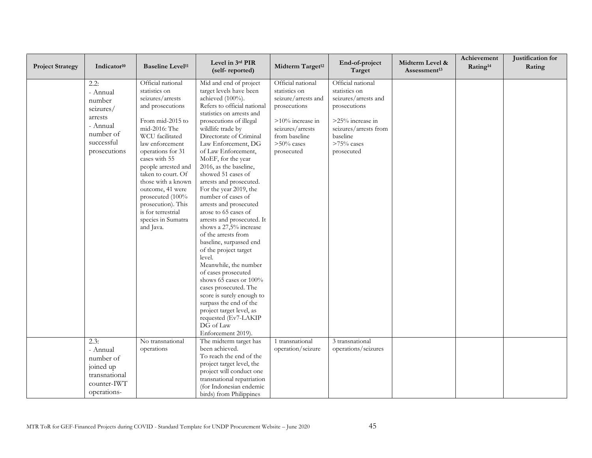| <b>Project Strategy</b> | Indicator <sup>10</sup> | <b>Baseline Level<sup>11</sup></b>     | Level in 3rd PIR<br>(self-reported)                      | Midterm Target <sup>12</sup> | End-of-project<br>Target | Midterm Level &<br>Assessment <sup>13</sup> | Achievement<br>Rating <sup>14</sup> | Justification for<br>Rating |
|-------------------------|-------------------------|----------------------------------------|----------------------------------------------------------|------------------------------|--------------------------|---------------------------------------------|-------------------------------------|-----------------------------|
|                         | 2.2:                    | Official national                      | Mid and end of project                                   | Official national            | Official national        |                                             |                                     |                             |
|                         | - Annual                | statistics on                          | target levels have been                                  | statistics on                | statistics on            |                                             |                                     |                             |
|                         | number                  | seizures/arrests                       | achieved (100%).                                         | seizure/arrests and          | seizures/arrests and     |                                             |                                     |                             |
|                         | seizures/               | and prosecutions                       | Refers to official national<br>statistics on arrests and | prosecutions                 | prosecutions             |                                             |                                     |                             |
|                         | arrests                 | From mid-2015 to                       | prosecutions of illegal                                  | >10% increase in             | >25% increase in         |                                             |                                     |                             |
|                         | - Annual                | mid-2016: The                          | wildlife trade by                                        | seizures/arrests             | seizures/arrests from    |                                             |                                     |                             |
|                         | number of               | WCU facilitated                        | Directorate of Criminal                                  | from baseline                | baseline                 |                                             |                                     |                             |
|                         | successful              | law enforcement                        | Law Enforcement, DG                                      | $>50\%$ cases                | $>75\%$ cases            |                                             |                                     |                             |
|                         | prosecutions            | operations for 31                      | of Law Enforcement,                                      | prosecuted                   | prosecuted               |                                             |                                     |                             |
|                         |                         | cases with 55                          | MoEF, for the year                                       |                              |                          |                                             |                                     |                             |
|                         |                         | people arrested and                    | 2016, as the baseline,                                   |                              |                          |                                             |                                     |                             |
|                         |                         | taken to court. Of                     | showed 51 cases of                                       |                              |                          |                                             |                                     |                             |
|                         |                         | those with a known                     | arrests and prosecuted.                                  |                              |                          |                                             |                                     |                             |
|                         |                         | outcome, 41 were                       | For the year 2019, the<br>number of cases of             |                              |                          |                                             |                                     |                             |
|                         |                         | prosecuted (100%<br>prosecution). This | arrests and prosecuted                                   |                              |                          |                                             |                                     |                             |
|                         |                         | is for terrestrial                     | arose to 65 cases of                                     |                              |                          |                                             |                                     |                             |
|                         |                         | species in Sumatra                     | arrests and prosecuted. It                               |                              |                          |                                             |                                     |                             |
|                         |                         | and Java.                              | shows a 27,5% increase                                   |                              |                          |                                             |                                     |                             |
|                         |                         |                                        | of the arrests from                                      |                              |                          |                                             |                                     |                             |
|                         |                         |                                        | baseline, surpassed end                                  |                              |                          |                                             |                                     |                             |
|                         |                         |                                        | of the project target                                    |                              |                          |                                             |                                     |                             |
|                         |                         |                                        | level.                                                   |                              |                          |                                             |                                     |                             |
|                         |                         |                                        | Meanwhile, the number                                    |                              |                          |                                             |                                     |                             |
|                         |                         |                                        | of cases prosecuted                                      |                              |                          |                                             |                                     |                             |
|                         |                         |                                        | shows 65 cases or 100%                                   |                              |                          |                                             |                                     |                             |
|                         |                         |                                        | cases prosecuted. The                                    |                              |                          |                                             |                                     |                             |
|                         |                         |                                        | score is surely enough to<br>surpass the end of the      |                              |                          |                                             |                                     |                             |
|                         |                         |                                        | project target level, as                                 |                              |                          |                                             |                                     |                             |
|                         |                         |                                        | requested (Ev7-LAKIP                                     |                              |                          |                                             |                                     |                             |
|                         |                         |                                        | DG of Law                                                |                              |                          |                                             |                                     |                             |
|                         |                         |                                        | Enforcement 2019).                                       |                              |                          |                                             |                                     |                             |
|                         | 2.3:                    | No transnational                       | The midterm target has                                   | 1 transnational              | 3 transnational          |                                             |                                     |                             |
|                         | - Annual                | operations                             | been achieved.                                           | operation/seizure            | operations/seizures      |                                             |                                     |                             |
|                         | number of               |                                        | To reach the end of the                                  |                              |                          |                                             |                                     |                             |
|                         |                         |                                        | project target level, the                                |                              |                          |                                             |                                     |                             |
|                         | joined up               |                                        | project will conduct one                                 |                              |                          |                                             |                                     |                             |
|                         | transnational           |                                        | transnational repatriation                               |                              |                          |                                             |                                     |                             |
|                         | counter-IWT             |                                        | (for Indonesian endemic                                  |                              |                          |                                             |                                     |                             |
|                         | operations-             |                                        | birds) from Philippines                                  |                              |                          |                                             |                                     |                             |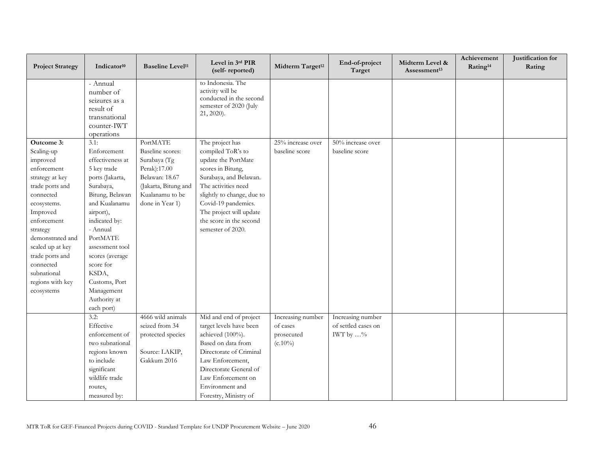| <b>Project Strategy</b>                                                                                                                                                                                                                                                               | Indicator <sup>10</sup>                                                                                                                                                                                                                                                                                   | <b>Baseline Level<sup>11</sup></b>                                                                                                           | Level in 3rd PIR<br>(self-reported)                                                                                                                                                                                                                               | Midterm Target <sup>12</sup>                              | End-of-project<br>Target                                      | Midterm Level &<br>Assessment <sup>13</sup> | Achievement<br>Rating <sup>14</sup> | Justification for<br>Rating |
|---------------------------------------------------------------------------------------------------------------------------------------------------------------------------------------------------------------------------------------------------------------------------------------|-----------------------------------------------------------------------------------------------------------------------------------------------------------------------------------------------------------------------------------------------------------------------------------------------------------|----------------------------------------------------------------------------------------------------------------------------------------------|-------------------------------------------------------------------------------------------------------------------------------------------------------------------------------------------------------------------------------------------------------------------|-----------------------------------------------------------|---------------------------------------------------------------|---------------------------------------------|-------------------------------------|-----------------------------|
|                                                                                                                                                                                                                                                                                       | - Annual<br>number of<br>seizures as a<br>result of<br>transnational<br>counter-IWT<br>operations                                                                                                                                                                                                         |                                                                                                                                              | to Indonesia. The<br>activity will be<br>conducted in the second<br>semester of 2020 (July<br>21, 2020).                                                                                                                                                          |                                                           |                                                               |                                             |                                     |                             |
| Outcome 3:<br>Scaling-up<br>improved<br>enforcement<br>strategy at key<br>trade ports and<br>connected<br>ecosystems.<br>Improved<br>enforcement<br>strategy<br>demonstrated and<br>scaled up at key<br>trade ports and<br>connected<br>subnational<br>regions with key<br>ecosystems | 3.1:<br>Enforcement<br>effectiveness at<br>5 key trade<br>ports (Jakarta,<br>Surabaya,<br>Bitung, Belawan<br>and Kualanamu<br>airport),<br>indicated by:<br>- Annual<br>PortMATE<br>assessment tool<br>scores (average<br>score for<br>KSDA,<br>Customs, Port<br>Management<br>Authority at<br>each port) | PortMATE<br>Baseline scores:<br>Surabaya (Tg<br>Perak):17.00<br>Belawan: 18.67<br>(Jakarta, Bitung and<br>Kualanamu to be<br>done in Year 1) | The project has<br>compiled ToR's to<br>update the PortMate<br>scores in Bitung,<br>Surabaya, and Belawan.<br>The activities need<br>slightly to change, due to<br>Covid-19 pandemics.<br>The project will update<br>the score in the second<br>semester of 2020. | $25\%$ increase over<br>baseline score                    | 50% increase over<br>baseline score                           |                                             |                                     |                             |
|                                                                                                                                                                                                                                                                                       | 3.2:<br>Effective<br>enforcement of<br>two subnational<br>regions known<br>to include<br>significant<br>wildlife trade<br>routes,<br>measured by:                                                                                                                                                         | 4666 wild animals<br>seized from 34<br>protected species<br>Source: LAKIP,<br>Gakkum 2016                                                    | Mid and end of project<br>target levels have been<br>achieved (100%).<br>Based on data from<br>Directorate of Criminal<br>Law Enforcement,<br>Directorate General of<br>Law Enforcement on<br>Environment and<br>Forestry, Ministry of                            | Increasing number<br>of cases<br>prosecuted<br>$(c.10\%)$ | Increasing number<br>of settled cases on<br>IWT by $\ldots\%$ |                                             |                                     |                             |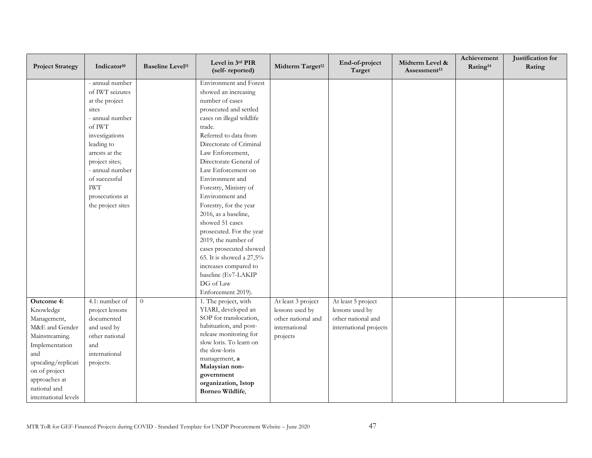| <b>Project Strategy</b>                                                                                                                                                                              | Indicator <sup>10</sup>                                                                                                                                                                                                                                  | <b>Baseline Level<sup>11</sup></b> | Level in 3rd PIR<br>(self-reported)                                                                                                                                                                                                                                                                                                                                                                                                                                                                                                                                          | Midterm Target <sup>12</sup>                                                             | End-of-project<br>Target                                                              | Midterm Level &<br>Assessment <sup>13</sup> | Achievement<br>Rating <sup>14</sup> | Justification for<br>Rating |
|------------------------------------------------------------------------------------------------------------------------------------------------------------------------------------------------------|----------------------------------------------------------------------------------------------------------------------------------------------------------------------------------------------------------------------------------------------------------|------------------------------------|------------------------------------------------------------------------------------------------------------------------------------------------------------------------------------------------------------------------------------------------------------------------------------------------------------------------------------------------------------------------------------------------------------------------------------------------------------------------------------------------------------------------------------------------------------------------------|------------------------------------------------------------------------------------------|---------------------------------------------------------------------------------------|---------------------------------------------|-------------------------------------|-----------------------------|
|                                                                                                                                                                                                      | - annual number<br>of IWT seizures<br>at the project<br>sites<br>- annual number<br>of IWT<br>investigations<br>leading to<br>arrests at the<br>project sites;<br>- annual number<br>of successful<br><b>IWT</b><br>prosecutions at<br>the project sites |                                    | <b>Environment</b> and Forest<br>showed an increasing<br>number of cases<br>prosecuted and settled<br>cases on illegal wildlife<br>trade.<br>Referred to data from<br>Directorate of Criminal<br>Law Enforcement,<br>Directorate General of<br>Law Enforcement on<br>Environment and<br>Forestry, Ministry of<br>Environment and<br>Forestry, for the year<br>2016, as a baseline,<br>showed 51 cases<br>prosecuted. For the year<br>2019, the number of<br>cases prosecuted showed<br>65. It is showed a 27,5%<br>increases compared to<br>baseline (Ev7-LAKIP<br>DG of Law |                                                                                          |                                                                                       |                                             |                                     |                             |
| Outcome 4:<br>Knowledge<br>Management,<br>M&E and Gender<br>Mainstreaming.<br>Implementation<br>and<br>upscaling/replicati<br>on of project<br>approaches at<br>national and<br>international levels | 4.1: number of<br>project lessons<br>documented<br>and used by<br>other national<br>and<br>international<br>projects.                                                                                                                                    | $\overline{0}$                     | 1. The project, with<br>YIARI, developed an<br>SOP for translocation,<br>habituation, and post-<br>release monitoring for<br>slow loris. To learn on<br>the slow-loris<br>management, a<br>Malaysian non-<br>government<br>organization, 1stop<br>Borneo Wildlife,                                                                                                                                                                                                                                                                                                           | At least 3 project<br>lessons used by<br>other national and<br>international<br>projects | At least 5 project<br>lessons used by<br>other national and<br>international projects |                                             |                                     |                             |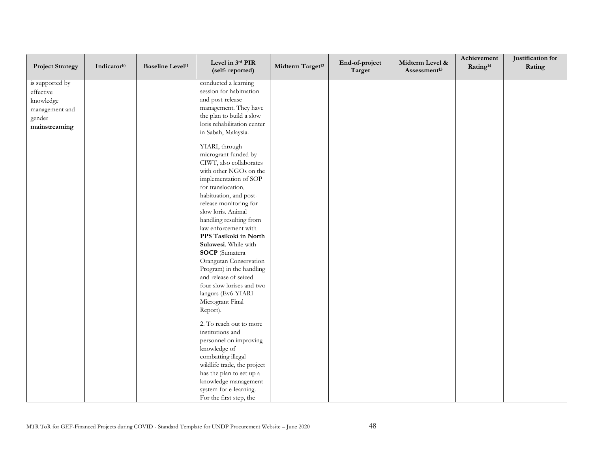| <b>Project Strategy</b> | Indicator <sup>10</sup> | <b>Baseline Level<sup>11</sup></b> | Level in 3rd PIR<br>(self-reported) | Midterm Target <sup>12</sup> | End-of-project<br>Target | Midterm Level &<br>Assessment <sup>13</sup> | Achievement<br>Rating <sup>14</sup> | Justification for<br>Rating |
|-------------------------|-------------------------|------------------------------------|-------------------------------------|------------------------------|--------------------------|---------------------------------------------|-------------------------------------|-----------------------------|
| is supported by         |                         |                                    | conducted a learning                |                              |                          |                                             |                                     |                             |
| effective               |                         |                                    | session for habituation             |                              |                          |                                             |                                     |                             |
| knowledge               |                         |                                    | and post-release                    |                              |                          |                                             |                                     |                             |
| management and          |                         |                                    | management. They have               |                              |                          |                                             |                                     |                             |
| gender                  |                         |                                    | the plan to build a slow            |                              |                          |                                             |                                     |                             |
| mainstreaming           |                         |                                    | loris rehabilitation center         |                              |                          |                                             |                                     |                             |
|                         |                         |                                    | in Sabah, Malaysia.                 |                              |                          |                                             |                                     |                             |
|                         |                         |                                    | YIARI, through                      |                              |                          |                                             |                                     |                             |
|                         |                         |                                    | microgrant funded by                |                              |                          |                                             |                                     |                             |
|                         |                         |                                    | CIWT, also collaborates             |                              |                          |                                             |                                     |                             |
|                         |                         |                                    | with other NGOs on the              |                              |                          |                                             |                                     |                             |
|                         |                         |                                    | implementation of SOP               |                              |                          |                                             |                                     |                             |
|                         |                         |                                    | for translocation,                  |                              |                          |                                             |                                     |                             |
|                         |                         |                                    | habituation, and post-              |                              |                          |                                             |                                     |                             |
|                         |                         |                                    | release monitoring for              |                              |                          |                                             |                                     |                             |
|                         |                         |                                    | slow loris. Animal                  |                              |                          |                                             |                                     |                             |
|                         |                         |                                    | handling resulting from             |                              |                          |                                             |                                     |                             |
|                         |                         |                                    | law enforcement with                |                              |                          |                                             |                                     |                             |
|                         |                         |                                    | PPS Tasikoki in North               |                              |                          |                                             |                                     |                             |
|                         |                         |                                    | Sulawesi. While with                |                              |                          |                                             |                                     |                             |
|                         |                         |                                    | <b>SOCP</b> (Sumatera               |                              |                          |                                             |                                     |                             |
|                         |                         |                                    | Orangutan Conservation              |                              |                          |                                             |                                     |                             |
|                         |                         |                                    | Program) in the handling            |                              |                          |                                             |                                     |                             |
|                         |                         |                                    | and release of seized               |                              |                          |                                             |                                     |                             |
|                         |                         |                                    | four slow lorises and two           |                              |                          |                                             |                                     |                             |
|                         |                         |                                    | langurs (Ev6-YIARI                  |                              |                          |                                             |                                     |                             |
|                         |                         |                                    | Microgrant Final                    |                              |                          |                                             |                                     |                             |
|                         |                         |                                    | Report).                            |                              |                          |                                             |                                     |                             |
|                         |                         |                                    | 2. To reach out to more             |                              |                          |                                             |                                     |                             |
|                         |                         |                                    | institutions and                    |                              |                          |                                             |                                     |                             |
|                         |                         |                                    | personnel on improving              |                              |                          |                                             |                                     |                             |
|                         |                         |                                    | knowledge of                        |                              |                          |                                             |                                     |                             |
|                         |                         |                                    | combatting illegal                  |                              |                          |                                             |                                     |                             |
|                         |                         |                                    | wildlife trade, the project         |                              |                          |                                             |                                     |                             |
|                         |                         |                                    | has the plan to set up a            |                              |                          |                                             |                                     |                             |
|                         |                         |                                    | knowledge management                |                              |                          |                                             |                                     |                             |
|                         |                         |                                    | system for e-learning.              |                              |                          |                                             |                                     |                             |
|                         |                         |                                    | For the first step, the             |                              |                          |                                             |                                     |                             |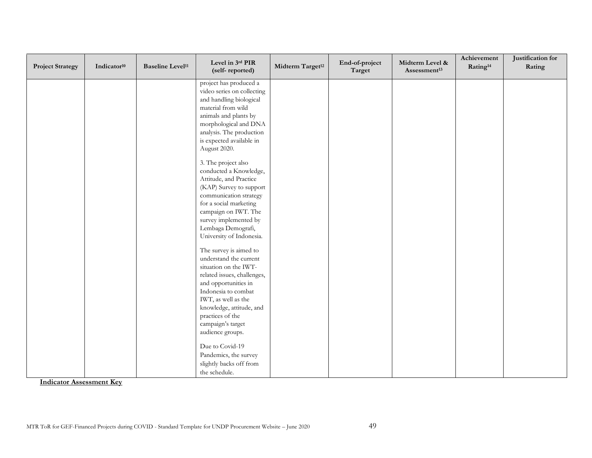| <b>Project Strategy</b> | Indicator <sup>10</sup> | <b>Baseline Level<sup>11</sup></b> | Level in 3rd PIR<br>(self-reported)                                                                                                                                                                                                                                                                        | Midterm Target <sup>12</sup> | End-of-project<br>Target | Midterm Level &<br>Assessment <sup>13</sup> | Achievement<br>Rating <sup>14</sup> | Justification for<br>Rating |
|-------------------------|-------------------------|------------------------------------|------------------------------------------------------------------------------------------------------------------------------------------------------------------------------------------------------------------------------------------------------------------------------------------------------------|------------------------------|--------------------------|---------------------------------------------|-------------------------------------|-----------------------------|
|                         |                         |                                    | project has produced a<br>video series on collecting<br>and handling biological<br>material from wild<br>animals and plants by<br>morphological and DNA<br>analysis. The production<br>is expected available in<br>August 2020.<br>3. The project also<br>conducted a Knowledge,<br>Attitude, and Practice |                              |                          |                                             |                                     |                             |
|                         |                         |                                    | (KAP) Survey to support<br>communication strategy<br>for a social marketing<br>campaign on IWT. The<br>survey implemented by<br>Lembaga Demografi,<br>University of Indonesia.                                                                                                                             |                              |                          |                                             |                                     |                             |
|                         |                         |                                    | The survey is aimed to<br>understand the current<br>situation on the IWT-<br>related issues, challenges,<br>and opportunities in<br>Indonesia to combat<br>IWT, as well as the<br>knowledge, attitude, and<br>practices of the<br>campaign's target                                                        |                              |                          |                                             |                                     |                             |
|                         |                         |                                    | audience groups.<br>Due to Covid-19<br>Pandemics, the survey<br>slightly backs off from<br>the schedule.                                                                                                                                                                                                   |                              |                          |                                             |                                     |                             |

**Indicator Assessment Key**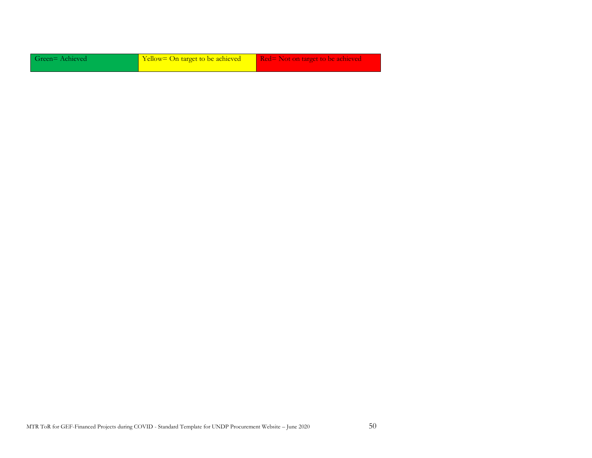| Green=Achieved | Yellow= On target to be achieved | Red= Not on target to be achieved |  |
|----------------|----------------------------------|-----------------------------------|--|
|                |                                  |                                   |  |